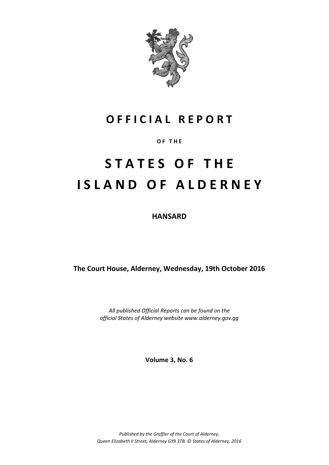

## **O F F I C I A L R E P O R T**

## **O F T H E**

# **S T A T E S O F T H E I S L A N D O F A L D E R N E Y**

**HANSARD**

**The Court House, Alderney, Wednesday, 19th October 2016**

*All published Official Reports can be found on the official States of Alderney website www.alderney.gov.gg*

**Volume 3, No. 6**

*Published by the Greffier of the Court of Alderney, Queen Elizabeth II Street, Alderney GY9 3TB. © States of Alderney, 2016*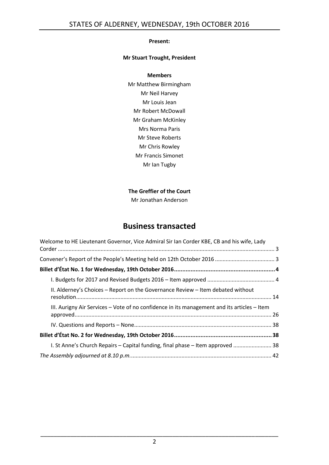## **Present:**

## **Mr Stuart Trought, President**

#### **Members**

Mr Matthew Birmingham Mr Neil Harvey Mr Louis Jean Mr Robert McDowall Mr Graham McKinley Mrs Norma Paris Mr Steve Roberts Mr Chris Rowley Mr Francis Simonet Mr Ian Tugby

## **The Greffier of the Court**

Mr Jonathan Anderson

## **Business transacted**

| Welcome to HE Lieutenant Governor, Vice Admiral Sir Ian Corder KBE, CB and his wife, Lady   |  |
|---------------------------------------------------------------------------------------------|--|
|                                                                                             |  |
|                                                                                             |  |
|                                                                                             |  |
| II. Alderney's Choices - Report on the Governance Review - Item debated without             |  |
| III. Aurigny Air Services – Vote of no confidence in its management and its articles – Item |  |
|                                                                                             |  |
|                                                                                             |  |
| 1. St Anne's Church Repairs - Capital funding, final phase - Item approved  38              |  |
|                                                                                             |  |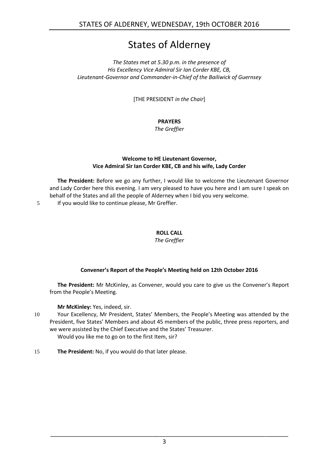## States of Alderney

## *The States met at 5.30 p.m. in the presence of His Excellency Vice Admiral Sir Ian Corder KBE, CB, Lieutenant-Governor and Commander-in-Chief of the Bailiwick of Guernsey*

[THE PRESIDENT *in the Chair*]

## **PRAYERS**

*The Greffier*

## **Welcome to HE Lieutenant Governor, Vice Admiral Sir Ian Corder KBE, CB and his wife, Lady Corder**

<span id="page-2-0"></span>**The President:** Before we go any further, I would like to welcome the Lieutenant Governor and Lady Corder here this evening. I am very pleased to have you here and I am sure I speak on behalf of the States and all the people of Alderney when I bid you very welcome.

5 If you would like to continue please, Mr Greffier.

## **ROLL CALL**

*The Greffier*

## **Convener's Report of the People's Meeting held on 12th October 2016**

<span id="page-2-1"></span>**The President:** Mr McKinley, as Convener, would you care to give us the Convener's Report from the People's Meeting.

**Mr McKinley:** Yes, indeed, sir.

10 Your Excellency, Mr President, States' Members, the People's Meeting was attended by the President, five States' Members and about 45 members of the public, three press reporters, and we were assisted by the Chief Executive and the States' Treasurer.

Would you like me to go on to the first Item, sir?

15 **The President:** No, if you would do that later please.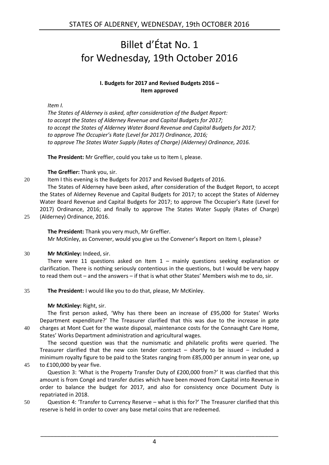## <span id="page-3-0"></span>Billet d'État No. 1 for Wednesday, 19th October 2016

## **I. Budgets for 2017 and Revised Budgets 2016 – Item approved**

<span id="page-3-1"></span>*Item I.*

*The States of Alderney is asked, after consideration of the Budget Report: to accept the States of Alderney Revenue and Capital Budgets for 2017; to accept the States of Alderney Water Board Revenue and Capital Budgets for 2017; to approve The Occupier's Rate (Level for 2017) Ordinance, 2016; to approve The States Water Supply (Rates of Charge) (Alderney) Ordinance, 2016.*

**The President:** Mr Greffier, could you take us to Item I, please.

**The Greffier:** Thank you, sir.

20 Item I this evening is the Budgets for 2017 and Revised Budgets of 2016.

The States of Alderney have been asked, after consideration of the Budget Report, to accept the States of Alderney Revenue and Capital Budgets for 2017; to accept the States of Alderney Water Board Revenue and Capital Budgets for 2017; to approve The Occupier's Rate (Level for 2017) Ordinance, 2016; and finally to approve The States Water Supply (Rates of Charge)

25 (Alderney) Ordinance, 2016.

**The President:** Thank you very much, Mr Greffier. Mr McKinley, as Convener, would you give us the Convener's Report on Item I, please?

## 30 **Mr McKinley:** Indeed, sir.

There were 11 questions asked on Item  $1 -$  mainly questions seeking explanation or clarification. There is nothing seriously contentious in the questions, but I would be very happy to read them out – and the answers – if that is what other States' Members wish me to do, sir.

35 **The President:** I would like you to do that, please, Mr McKinley.

## **Mr McKinley:** Right, sir.

The first person asked, 'Why has there been an increase of £95,000 for States' Works Department expenditure?' The Treasurer clarified that this was due to the increase in gate 40 charges at Mont Cuet for the waste disposal, maintenance costs for the Connaught Care Home, States' Works Department administration and agricultural wages.

The second question was that the numismatic and philatelic profits were queried. The Treasurer clarified that the new coin tender contract  $-$  shortly to be issued  $-$  included a minimum royalty figure to be paid to the States ranging from £85,000 per annum in year one, up 45 to £100,000 by year five.

Question 3: 'What is the Property Transfer Duty of £200,000 from?' It was clarified that this amount is from Congé and transfer duties which have been moved from Capital into Revenue in order to balance the budget for 2017, and also for consistency once Document Duty is repatriated in 2018.

50 Question 4: 'Transfer to Currency Reserve – what is this for?' The Treasurer clarified that this reserve is held in order to cover any base metal coins that are redeemed.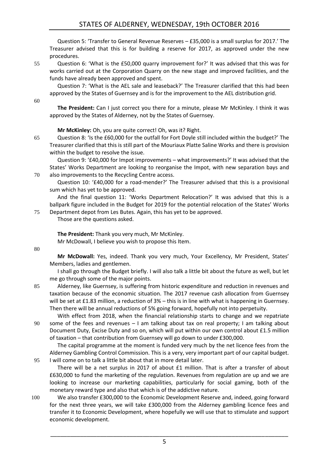## STATES OF ALDERNEY, WEDNESDAY, 19th OCTOBER 2016

Question 5: 'Transfer to General Revenue Reserves – £35,000 is a small surplus for 2017.' The Treasurer advised that this is for building a reserve for 2017, as approved under the new procedures.

55 Question 6: 'What is the £50,000 quarry improvement for?' It was advised that this was for works carried out at the Corporation Quarry on the new stage and improved facilities, and the funds have already been approved and spent.

Question 7: 'What is the AEL sale and leaseback?' The Treasurer clarified that this had been approved by the States of Guernsey and is for the improvement to the AEL distribution grid.

60

**The President:** Can I just correct you there for a minute, please Mr McKinley. I think it was approved by the States of Alderney, not by the States of Guernsey.

**Mr McKinley:** Oh, you are quite correct! Oh, was it? Right.

65 Question 8: 'Is the £60,000 for the outfall for Fort Doyle still included within the budget?' The Treasurer clarified that this is still part of the Mouriaux Platte Saline Works and there is provision within the budget to resolve the issue.

Question 9: '£40,000 for Impot improvements – what improvements?' It was advised that the States' Works Department are looking to reorganise the Impot, with new separation bays and 70 also improvements to the Recycling Centre access.

Question 10: '£40,000 for a road-mender?' The Treasurer advised that this is a provisional sum which has yet to be approved.

And the final question 11: 'Works Department Relocation?' It was advised that this is a ballpark figure included in the Budget for 2019 for the potential relocation of the States' Works 75 Department depot from Les Butes. Again, this has yet to be approved.

Those are the questions asked.

**The President:** Thank you very much, Mr McKinley.

Mr McDowall, I believe you wish to propose this Item.

80

**Mr McDowall:** Yes, indeed. Thank you very much, Your Excellency, Mr President, States' Members, ladies and gentlemen.

I shall go through the Budget briefly. I will also talk a little bit about the future as well, but let me go through some of the major points.

85 Alderney, like Guernsey, is suffering from historic expenditure and reduction in revenues and taxation because of the economic situation. The 2017 revenue cash allocation from Guernsey will be set at £1.83 million, a reduction of 3% – this is in line with what is happening in Guernsey. Then there will be annual reductions of 5% going forward, hopefully not into perpetuity.

With effect from 2018, when the financial relationship starts to change and we repatriate 90 some of the fees and revenues – I am talking about tax on real property; I am talking about Document Duty, Excise Duty and so on, which will put within our own control about £1.5 million of taxation – that contribution from Guernsey will go down to under £300,000.

The capital programme at the moment is funded very much by the net licence fees from the Alderney Gambling Control Commission. This is a very, very important part of our capital budget. 95 I will come on to talk a little bit about that in more detail later.

There will be a net surplus in 2017 of about £1 million. That is after a transfer of about £630,000 to fund the marketing of the regulation. Revenues from regulation are up and we are looking to increase our marketing capabilities, particularly for social gaming, both of the monetary reward type and also that which is of the addictive nature.

100 We also transfer £300,000 to the Economic Development Reserve and, indeed, going forward for the next three years, we will take £300,000 from the Alderney gambling licence fees and transfer it to Economic Development, where hopefully we will use that to stimulate and support economic development.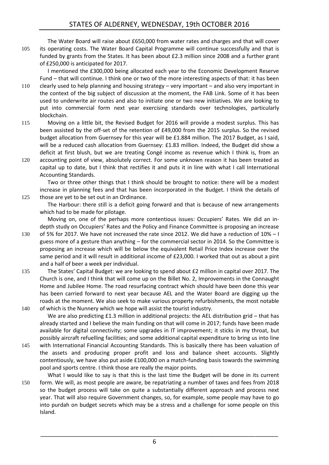The Water Board will raise about £650,000 from water rates and charges and that will cover 105 its operating costs. The Water Board Capital Programme will continue successfully and that is funded by grants from the States. It has been about £2.3 million since 2008 and a further grant of £250,000 is anticipated for 2017.

I mentioned the £300,000 being allocated each year to the Economic Development Reserve Fund – that will continue. I think one or two of the more interesting aspects of that: it has been

- 110 clearly used to help planning and housing strategy very important and also very important in the context of the big subject of discussion at the moment, the FAB Link. Some of it has been used to underwrite air routes and also to initiate one or two new initiatives. We are looking to put into commercial form next year exercising standards over technologies, particularly blockchain.
- 115 Moving on a little bit, the Revised Budget for 2016 will provide a modest surplus. This has been assisted by the off-set of the retention of £49,000 from the 2015 surplus. So the revised budget allocation from Guernsey for this year will be £1.884 million. The 2017 Budget, as I said, will be a reduced cash allocation from Guernsey: £1.83 million. Indeed, the Budget did show a deficit at first blush, but we are treating Congé income as revenue which I think is, from an
- 120 accounting point of view, absolutely correct. For some unknown reason it has been treated as capital up to date, but I think that rectifies it and puts it in line with what I call International Accounting Standards.

Two or three other things that I think should be brought to notice: there will be a modest increase in planning fees and that has been incorporated in the Budget. I think the details of 125 those are yet to be set out in an Ordinance.

The Harbour: there still is a deficit going forward and that is because of new arrangements which had to be made for pilotage.

Moving on, one of the perhaps more contentious issues: Occupiers' Rates. We did an indepth study on Occupiers' Rates and the Policy and Finance Committee is proposing an increase

- 130 of 5% for 2017. We have not increased the rate since 2012. We did have a reduction of 10% I guess more of a gesture than anything – for the commercial sector in 2014. So the Committee is proposing an increase which will be below the equivalent Retail Price Index increase over the same period and it will result in additional income of £23,000. I worked that out as about a pint and a half of beer a week per individual.
- 135 The States' Capital Budget: we are looking to spend about £2 million in capital over 2017. The Church is one, and I think that will come up on the Billet No. 2, Improvements in the Connaught Home and Jubilee Home. The road resurfacing contract which should have been done this year has been carried forward to next year because AEL and the Water Board are digging up the roads at the moment. We also seek to make various property refurbishments, the most notable 140 of which is the Nunnery which we hope will assist the tourist industry.

We are also predicting £1.3 million in additional projects: the AEL distribution grid – that has already started and I believe the main funding on that will come in 2017; funds have been made available for digital connectivity; some upgrades in IT improvement; it sticks in my throat, but possibly aircraft refuelling facilities; and some additional capital expenditure to bring us into line

145 with International Financial Accounting Standards. This is basically there has been valuation of the assets and producing proper profit and loss and balance sheet accounts. Slightly contentiously, we have also put aside £100,000 on a match-funding basis towards the swimming pool and sports centre. I think those are really the major points.

What I would like to say is that this is the last time the Budget will be done in its current 150 form. We will, as most people are aware, be repatriating a number of taxes and fees from 2018 so the budget process will take on quite a substantially different approach and process next year. That will also require Government changes, so, for example, some people may have to go into purdah on budget secrets which may be a stress and a challenge for some people on this Island.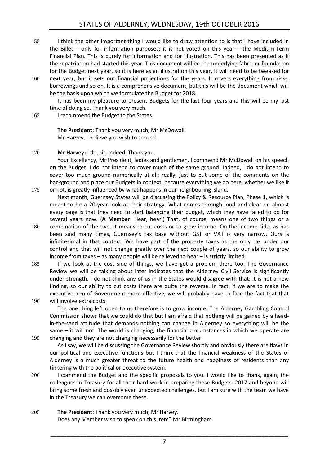- 155 I think the other important thing I would like to draw attention to is that I have included in the Billet – only for information purposes; it is not voted on this year – the Medium-Term Financial Plan. This is purely for information and for illustration. This has been presented as if the repatriation had started this year. This document will be the underlying fabric or foundation for the Budget next year, so it is here as an illustration this year. It will need to be tweaked for
- 160 next year, but it sets out financial projections for the years. It covers everything from risks, borrowings and so on. It is a comprehensive document, but this will be the document which will be the basis upon which we formulate the Budget for 2018.

It has been my pleasure to present Budgets for the last four years and this will be my last time of doing so. Thank you very much.

165 I recommend the Budget to the States.

**The President:** Thank you very much, Mr McDowall. Mr Harvey, I believe you wish to second.

## 170 **Mr Harvey:** I do, sir, indeed. Thank you.

Your Excellency, Mr President, ladies and gentlemen, I commend Mr McDowall on his speech on the Budget. I do not intend to cover much of the same ground. Indeed, I do not intend to cover too much ground numerically at all; really, just to put some of the comments on the background and place our Budgets in context, because everything we do here, whether we like it 175 or not, is greatly influenced by what happens in our neighbouring island.

Next month, Guernsey States will be discussing the Policy & Resource Plan, Phase 1, which is meant to be a 20-year look at their strategy. What comes through loud and clear on almost every page is that they need to start balancing their budget, which they have failed to do for several years now. (**A Member:** Hear, hear.) That, of course, means one of two things or a

- 180 combination of the two. It means to cut costs or to grow income. On the income side, as has been said many times, Guernsey's tax base without GST or VAT is very narrow. Ours is infinitesimal in that context. We have part of the property taxes as the only tax under our control and that will not change greatly over the next couple of years, so our ability to grow income from taxes – as many people will be relieved to hear – is strictly limited.
- 185 If we look at the cost side of things, we have got a problem there too. The Governance Review we will be talking about later indicates that the Alderney Civil Service is significantly under-strength. I do not think any of us in the States would disagree with that; it is not a new finding, so our ability to cut costs there are quite the reverse. In fact, if we are to make the executive arm of Government more effective, we will probably have to face the fact that that 190 will involve extra costs.

The one thing left open to us therefore is to grow income. The Alderney Gambling Control Commission shows that we could do that but I am afraid that nothing will be gained by a headin-the-sand attitude that demands nothing can change in Alderney so everything will be the same – it will not. The world is changing; the financial circumstances in which we operate are 195 changing and they are not changing necessarily for the better.

As I say, we will be discussing the Governance Review shortly and obviously there are flaws in our political and executive functions but I think that the financial weakness of the States of Alderney is a much greater threat to the future health and happiness of residents than any tinkering with the political or executive system.

- 200 I commend the Budget and the specific proposals to you. I would like to thank, again, the colleagues in Treasury for all their hard work in preparing these Budgets. 2017 and beyond will bring some fresh and possibly even unexpected challenges, but I am sure with the team we have in the Treasury we can overcome these.
- 205 **The President:** Thank you very much, Mr Harvey. Does any Member wish to speak on this Item? Mr Birmingham.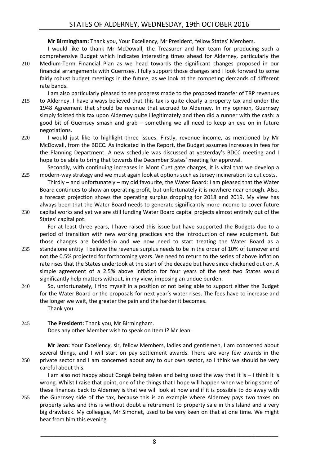**Mr Birmingham:** Thank you, Your Excellency, Mr President, fellow States' Members.

- I would like to thank Mr McDowall, the Treasurer and her team for producing such a comprehensive Budget which indicates interesting times ahead for Alderney, particularly the 210 Medium-Term Financial Plan as we head towards the significant changes proposed in our financial arrangements with Guernsey. I fully support those changes and I look forward to some fairly robust budget meetings in the future, as we look at the competing demands of different rate bands.
- I am also particularly pleased to see progress made to the proposed transfer of TRP revenues 215 to Alderney. I have always believed that this tax is quite clearly a property tax and under the 1948 Agreement that should be revenue that accrued to Alderney. In my opinion, Guernsey simply foisted this tax upon Alderney quite illegitimately and then did a runner with the cash: a good bit of Guernsey smash and grab – something we all need to keep an eye on in future negotiations.
- 220 I would just like to highlight three issues. Firstly, revenue income, as mentioned by Mr McDowall, from the BDCC. As indicated in the Report, the Budget assumes increases in fees for the Planning Department. A new schedule was discussed at yesterday's BDCC meeting and I hope to be able to bring that towards the December States' meeting for approval.

Secondly, with continuing increases in Mont Cuet gate charges, it is vital that we develop a 225 modern-way strategy and we must again look at options such as Jersey incineration to cut costs.

Thirdly – and unfortunately – my old favourite, the Water Board: I am pleased that the Water Board continues to show an operating profit, but unfortunately it is nowhere near enough. Also, a forecast projection shows the operating surplus dropping for 2018 and 2019. My view has always been that the Water Board needs to generate significantly more income to cover future

230 capital works and yet we are still funding Water Board capital projects almost entirely out of the States' capital pot.

For at least three years, I have raised this issue but have supported the Budgets due to a period of transition with new working practices and the introduction of new equipment. But those changes are bedded-in and we now need to start treating the Water Board as a

- 235 standalone entity. I believe the revenue surplus needs to be in the order of 10% of turnover and not the 0.5% projected for forthcoming years. We need to return to the series of above inflation rate rises that the States undertook at the start of the decade but have since chickened out on. A simple agreement of a 2.5% above inflation for four years of the next two States would significantly help matters without, in my view, imposing an undue burden.
- 240 So, unfortunately, I find myself in a position of not being able to support either the Budget for the Water Board or the proposals for next year's water rises. The fees have to increase and the longer we wait, the greater the pain and the harder it becomes. Thank you.
- 245 **The President:** Thank you, Mr Birmingham. Does any other Member wish to speak on Item I? Mr Jean.

**Mr Jean:** Your Excellency, sir, fellow Members, ladies and gentlemen, I am concerned about several things, and I will start on pay settlement awards. There are very few awards in the 250 private sector and I am concerned about any to our own sector, so I think we should be very careful about this.

I am also not happy about Congé being taken and being used the way that it is – I think it is wrong. Whilst I raise that point, one of the things that I hope will happen when we bring some of these finances back to Alderney is that we will look at how and if it is possible to do away with 255 the Guernsey side of the tax, because this is an example where Alderney pays two taxes on

property sales and this is without doubt a retirement to property sale in this Island and a very big drawback. My colleague, Mr Simonet, used to be very keen on that at one time. We might hear from him this evening.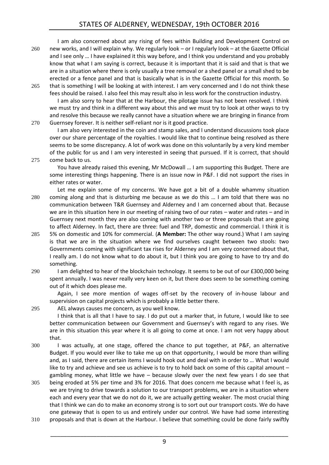I am also concerned about any rising of fees within Building and Development Control on 260 new works, and I will explain why. We regularly look – or I regularly look – at the Gazette Official and I see only … I have explained it this way before, and I think you understand and you probably know that what I am saying is correct, because it is important that it is said and that is that we are in a situation where there is only usually a tree removal or a shed panel or a small shed to be erected or a fence panel and that is basically what is in the Gazette Official for this month. So 265 that is something I will be looking at with interest. I am very concerned and I do not think these

fees should be raised. I also feel this may result also in less work for the construction industry. I am also sorry to hear that at the Harbour, the pilotage issue has not been resolved. I think we must try and think in a different way about this and we must try to look at other ways to try and resolve this because we really cannot have a situation where we are bringing in finance from 270 Guernsey forever. It is neither self-reliant nor is it good practice.

I am also very interested in the coin and stamp sales, and I understand discussions took place over our share percentage of the royalties. I would like that to continue being resolved as there seems to be some discrepancy. A lot of work was done on this voluntarily by a very kind member of the public for us and I am very interested in seeing that pursued. If it is correct, that should 275 come back to us.

You have already raised this evening, Mr McDowall … I am supporting this Budget. There are some interesting things happening. There is an issue now in P&F. I did not support the rises in either rates or water.

- Let me explain some of my concerns. We have got a bit of a double whammy situation 280 coming along and that is disturbing me because as we do this … I am told that there was no communication between T&R Guernsey and Alderney and I am concerned about that. Because we are in this situation here in our meeting of raising two of our rates – water and rates – and in Guernsey next month they are also coming with another two or three proposals that are going to affect Alderney. In fact, there are three: fuel and TRP, domestic and commercial. I think it is
- 285 5% on domestic and 10% for commercial. (**A Member:** The other way round.) What I am saying is that we are in the situation where we find ourselves caught between two stools: two Governments coming with significant tax rises for Alderney and I am very concerned about that, I really am. I do not know what to do about it, but I think you are going to have to try and do something.
- 290 I am delighted to hear of the blockchain technology. It seems to be out of our £300,000 being spent annually. I was never really very keen on it, but there does seem to be something coming out of it which does please me.

Again, I see more mention of wages off-set by the recovery of in-house labour and supervision on capital projects which is probably a little better there.

295 AEL always causes me concern, as you well know.

I think that is all that I have to say. I do put out a marker that, in future, I would like to see better communication between our Government and Guernsey's with regard to any rises. We are in this situation this year where it is all going to come at once. I am not very happy about that.

- 300 I was actually, at one stage, offered the chance to put together, at P&F, an alternative Budget. If you would ever like to take me up on that opportunity, I would be more than willing and, as I said, there are certain items I would hook out and deal with in order to … What I would like to try and achieve and see us achieve is to try to hold back on some of this capital amount – gambling money, what little we have – because slowly over the next few years I do see that
- 305 being eroded at 5% per time and 3% for 2016. That does concern me because what I feel is, as we are trying to drive towards a solution to our transport problems, we are in a situation where each and every year that we do not do it, we are actually getting weaker. The most crucial thing that I think we can do to make an economy strong is to sort out our transport costs. We do have one gateway that is open to us and entirely under our control. We have had some interesting
- 310 proposals and that is down at the Harbour. I believe that something could be done fairly swiftly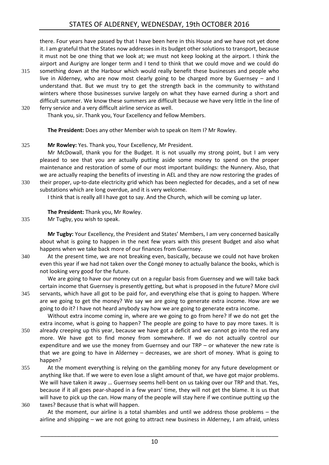there. Four years have passed by that I have been here in this House and we have not yet done it. I am grateful that the States now addresses in its budget other solutions to transport, because it must not be one thing that we look at; we must not keep looking at the airport. I think the airport and Aurigny are longer term and I tend to think that we could move and we could do

315 something down at the Harbour which would really benefit these businesses and people who live in Alderney, who are now most clearly going to be charged more by Guernsey – and I understand that. But we must try to get the strength back in the community to withstand winters where those businesses survive largely on what they have earned during a short and difficult summer. We know these summers are difficult because we have very little in the line of 320 ferry service and a very difficult airline service as well.

Thank you, sir. Thank you, Your Excellency and fellow Members.

**The President:** Does any other Member wish to speak on Item I? Mr Rowley.

## 325 **Mr Rowley:** Yes. Thank you, Your Excellency, Mr President.

Mr McDowall, thank you for the Budget. It is not usually my strong point, but I am very pleased to see that you are actually putting aside some money to spend on the proper maintenance and restoration of some of our most important buildings: the Nunnery. Also, that we are actually reaping the benefits of investing in AEL and they are now restoring the grades of 330 their proper, up-to-date electricity grid which has been neglected for decades, and a set of new

substations which are long overdue, and it is very welcome. I think that is really all I have got to say. And the Church, which will be coming up later.

**The President:** Thank you, Mr Rowley.

335 Mr Tugby, you wish to speak.

**Mr Tugby:** Your Excellency, the President and States' Members, I am very concerned basically about what is going to happen in the next few years with this present Budget and also what happens when we take back more of our finances from Guernsey.

340 At the present time, we are not breaking even, basically, because we could not have broken even this year if we had not taken over the Congé money to actually balance the books, which is not looking very good for the future.

We are going to have our money cut on a regular basis from Guernsey and we will take back certain income that Guernsey is presently getting, but what is proposed in the future? More civil 345 servants, which have all got to be paid for, and everything else that is going to happen. Where are we going to get the money? We say we are going to generate extra income. How are we going to do it? I have not heard anybody say how we are going to generate extra income.

Without extra income coming in, where are we going to go from here? If we do not get the extra income, what is going to happen? The people are going to have to pay more taxes. It is 350 already creeping up this year, because we have got a deficit and we cannot go into the red any more. We have got to find money from somewhere. If we do not actually control our expenditure and we use the money from Guernsey and our  $TRP - or$  whatever the new rate is that we are going to have in Alderney – decreases, we are short of money. What is going to

- happen? 355 At the moment everything is relying on the gambling money for any future development or anything like that. If we were to even lose a slight amount of that, we have got major problems. We will have taken it away … Guernsey seems hell-bent on us taking over our TRP and that. Yes, because if it all goes pear-shaped in a few years' time, they will not get the blame. It is us that will have to pick up the can. How many of the people will stay here if we continue putting up the
- 360 taxes? Because that is what will happen.

At the moment, our airline is a total shambles and until we address those problems – the airline and shipping – we are not going to attract new business in Alderney, I am afraid, unless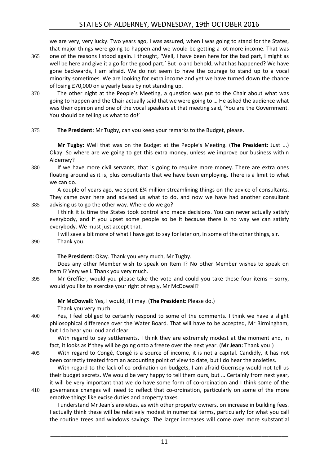we are very, very lucky. Two years ago, I was assured, when I was going to stand for the States, that major things were going to happen and we would be getting a lot more income. That was

- 365 one of the reasons I stood again. I thought, 'Well, I have been here for the bad part, I might as well be here and give it a go for the good part.' But lo and behold, what has happened? We have gone backwards, I am afraid. We do not seem to have the courage to stand up to a vocal minority sometimes. We are looking for extra income and yet we have turned down the chance of losing £70,000 on a yearly basis by not standing up.
- 370 The other night at the People's Meeting, a question was put to the Chair about what was going to happen and the Chair actually said that we were going to … He asked the audience what was their opinion and one of the vocal speakers at that meeting said, 'You are the Government. You should be telling us what to do!'

### 375 **The President:** Mr Tugby, can you keep your remarks to the Budget, please.

**Mr Tugby:** Well that was on the Budget at the People's Meeting. (**The President:** Just ...) Okay. So where are we going to get this extra money, unless we improve our business within Alderney?

380 If we have more civil servants, that is going to require more money. There are extra ones floating around as it is, plus consultants that we have been employing. There is a limit to what we can do.

A couple of years ago, we spent £¾ million streamlining things on the advice of consultants. They came over here and advised us what to do, and now we have had another consultant 385 advising us to go the other way. Where do we go?

I think it is time the States took control and made decisions. You can never actually satisfy everybody, and if you upset some people so be it because there is no way we can satisfy everybody. We must just accept that.

I will save a bit more of what I have got to say for later on, in some of the other things, sir.

390 Thank you.

## **The President:** Okay. Thank you very much, Mr Tugby.

Does any other Member wish to speak on Item I? No other Member wishes to speak on Item I? Very well. Thank you very much.

395 Mr Greffier, would you please take the vote and could you take these four items – sorry, would you like to exercise your right of reply, Mr McDowall?

**Mr McDowall:** Yes, I would, if I may. (**The President:** Please do.)

Thank you very much.

400 Yes, I feel obliged to certainly respond to some of the comments. I think we have a slight philosophical difference over the Water Board. That will have to be accepted, Mr Birmingham, but I do hear you loud and clear.

With regard to pay settlements, I think they are extremely modest at the moment and, in fact, it looks as if they will be going onto a freeze over the next year. (**Mr Jean:** Thank you!)

405 With regard to Congé, Congé is a source of income, it is not a capital. Candidly, it has not been correctly treated from an accounting point of view to date, but I do hear the anxieties.

With regard to the lack of co-ordination on budgets, I am afraid Guernsey would not tell us their budget secrets. We would be very happy to tell them ours, but … Certainly from next year, it will be very important that we do have some form of co-ordination and I think some of the 410 governance changes will need to reflect that co-ordination, particularly on some of the more emotive things like excise duties and property taxes.

I understand Mr Jean's anxieties, as with other property owners, on increase in building fees. I actually think these will be relatively modest in numerical terms, particularly for what you call the routine trees and windows savings. The larger increases will come over more substantial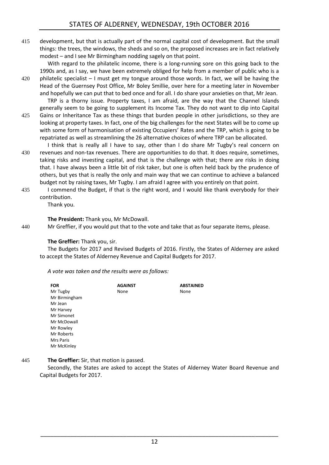415 development, but that is actually part of the normal capital cost of development. But the small things: the trees, the windows, the sheds and so on, the proposed increases are in fact relatively modest – and I see Mr Birmingham nodding sagely on that point.

With regard to the philatelic income, there is a long-running sore on this going back to the 1990s and, as I say, we have been extremely obliged for help from a member of public who is a 420 philatelic specialist – I must get my tongue around those words. In fact, we will be having the Head of the Guernsey Post Office, Mr Boley Smillie, over here for a meeting later in November

and hopefully we can put that to bed once and for all. I do share your anxieties on that, Mr Jean. TRP is a thorny issue. Property taxes, I am afraid, are the way that the Channel Islands

- generally seem to be going to supplement its Income Tax. They do not want to dip into Capital 425 Gains or Inheritance Tax as these things that burden people in other jurisdictions, so they are looking at property taxes. In fact, one of the big challenges for the next States will be to come up with some form of harmonisation of existing Occupiers' Rates and the TRP, which is going to be repatriated as well as streamlining the 26 alternative choices of where TRP can be allocated.
- I think that is really all I have to say, other than I do share Mr Tugby's real concern on 430 revenues and non-tax revenues. There are opportunities to do that. It does require, sometimes, taking risks and investing capital, and that is the challenge with that; there are risks in doing that. I have always been a little bit of risk taker, but one is often held back by the prudence of others, but yes that is really the only and main way that we can continue to achieve a balanced budget not by raising taxes, Mr Tugby. I am afraid I agree with you entirely on that point.
- 435 I commend the Budget, if that is the right word, and I would like thank everybody for their contribution.

Thank you.

## **The President:** Thank you, Mr McDowall.

440 Mr Greffier, if you would put that to the vote and take that as four separate items, please.

## **The Greffier:** Thank you, sir.

The Budgets for 2017 and Revised Budgets of 2016. Firstly, the States of Alderney are asked to accept the States of Alderney Revenue and Capital Budgets for 2017.

*A vote was taken and the results were as follows:*

| <b>FOR</b>    | <b>AGAINST</b> | <b>ABSTAINED</b> |
|---------------|----------------|------------------|
| Mr Tugby      | None           | None             |
| Mr Birmingham |                |                  |
| Mr Jean       |                |                  |
| Mr Harvey     |                |                  |
| Mr Simonet    |                |                  |
| Mr McDowall   |                |                  |
| Mr Rowley     |                |                  |
| Mr Roberts    |                |                  |
| Mrs Paris     |                |                  |
| Mr McKinley   |                |                  |

445 **The Greffier:** Sir, that motion is passed.

Secondly, the States are asked to accept the States of Alderney Water Board Revenue and Capital Budgets for 2017.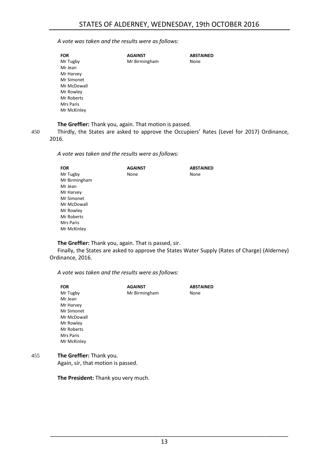#### *A vote was taken and the results were as follows:*

| <b>FOR</b>  | <b>AGAINST</b> | <b>ABSTAINED</b> |
|-------------|----------------|------------------|
| Mr Tugby    | Mr Birmingham  | None             |
| Mr Jean     |                |                  |
| Mr Harvey   |                |                  |
| Mr Simonet  |                |                  |
| Mr McDowall |                |                  |
| Mr Rowley   |                |                  |
| Mr Roberts  |                |                  |
| Mrs Paris   |                |                  |
| Mr McKinley |                |                  |
|             |                |                  |

**The Greffier:** Thank you, again. That motion is passed.

450 Thirdly, the States are asked to approve the Occupiers' Rates (Level for 2017) Ordinance, 2016.

*A vote was taken and the results were as follows:*

| <b>AGAINST</b> | <b>ABSTAINED</b> |
|----------------|------------------|
| None           | None             |
|                |                  |
|                |                  |
|                |                  |
|                |                  |
|                |                  |
|                |                  |
|                |                  |
|                |                  |
|                |                  |
|                |                  |

**The Greffier:** Thank you, again. That is passed, sir.

Finally, the States are asked to approve the States Water Supply (Rates of Charge) (Alderney) Ordinance, 2016.

*A vote was taken and the results were as follows:*

|     | <b>FOR</b>               | <b>AGAINST</b> | <b>ABSTAINED</b> |
|-----|--------------------------|----------------|------------------|
|     | Mr Tugby                 | Mr Birmingham  | None             |
|     | Mr Jean                  |                |                  |
|     | Mr Harvey                |                |                  |
|     | Mr Simonet               |                |                  |
|     | Mr McDowall              |                |                  |
|     | Mr Rowley                |                |                  |
|     | Mr Roberts               |                |                  |
|     | <b>Mrs Paris</b>         |                |                  |
|     | Mr McKinley              |                |                  |
| 455 | The Greffier: Thank you. |                |                  |

Again, sir, that motion is passed.

**The President:** Thank you very much.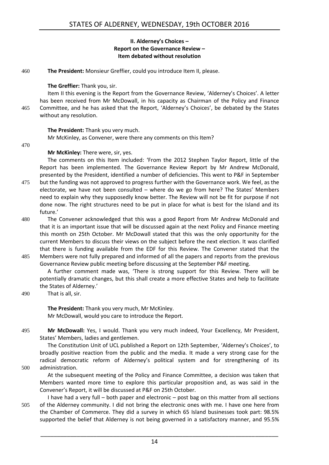#### **II. Alderney's Choices – Report on the Governance Review – Item debated without resolution**

<span id="page-13-0"></span>460 **The President:** Monsieur Greffier, could you introduce Item II, please.

### **The Greffier:** Thank you, sir.

Item II this evening is the Report from the Governance Review, 'Alderney's Choices'. A letter has been received from Mr McDowall, in his capacity as Chairman of the Policy and Finance 465 Committee, and he has asked that the Report, 'Alderney's Choices', be debated by the States without any resolution.

### **The President:** Thank you very much.

Mr McKinley, as Convener, were there any comments on this Item?

470

### **Mr McKinley:** There were, sir, yes.

The comments on this Item included: 'From the 2012 Stephen Taylor Report, little of the Report has been implemented. The Governance Review Report by Mr Andrew McDonald, presented by the President, identified a number of deficiencies. This went to P&F in September

- 475 but the funding was not approved to progress further with the Governance work. We feel, as the electorate, we have not been consulted – where do we go from here? The States' Members need to explain why they supposedly know better. The Review will not be fit for purpose if not done now. The right structures need to be put in place for what is best for the Island and its future.'
- 480 The Convener acknowledged that this was a good Report from Mr Andrew McDonald and that it is an important issue that will be discussed again at the next Policy and Finance meeting this month on 25th October. Mr McDowall stated that this was the only opportunity for the current Members to discuss their views on the subject before the next election. It was clarified that there is funding available from the EDF for this Review. The Convener stated that the
- 485 Members were not fully prepared and informed of all the papers and reports from the previous Governance Review public meeting before discussing at the September P&F meeting.

A further comment made was, 'There is strong support for this Review. There will be potentially dramatic changes, but this shall create a more effective States and help to facilitate the States of Alderney.'

490 That is all, sir.

**The President:** Thank you very much, Mr McKinley. Mr McDowall, would you care to introduce the Report.

495 **Mr McDowall:** Yes, I would. Thank you very much indeed, Your Excellency, Mr President, States' Members, ladies and gentlemen.

The Constitution Unit of UCL published a Report on 12th September, 'Alderney's Choices', to broadly positive reaction from the public and the media. It made a very strong case for the radical democratic reform of Alderney's political system and for strengthening of its 500 administration.

- At the subsequent meeting of the Policy and Finance Committee, a decision was taken that Members wanted more time to explore this particular proposition and, as was said in the Convener's Report, it will be discussed at P&F on 25th October.
- I have had a very full both paper and electronic post bag on this matter from all sections 505 of the Alderney community. I did not bring the electronic ones with me. I have one here from the Chamber of Commerce. They did a survey in which 65 Island businesses took part: 98.5% supported the belief that Alderney is not being governed in a satisfactory manner, and 95.5%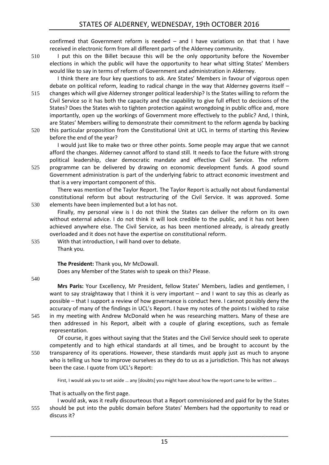confirmed that Government reform is needed – and I have variations on that that I have received in electronic form from all different parts of the Alderney community.

510 I put this on the Billet because this will be the only opportunity before the November elections in which the public will have the opportunity to hear what sitting States' Members would like to say in terms of reform of Government and administration in Alderney.

I think there are four key questions to ask. Are States' Members in favour of vigorous open debate on political reform, leading to radical change in the way that Alderney governs itself – 515 changes which will give Alderney stronger political leadership? Is the States willing to reform the

- Civil Service so it has both the capacity and the capability to give full effect to decisions of the States? Does the States wish to tighten protection against wrongdoing in public office and, more importantly, open up the workings of Government more effectively to the public? And, I think, are States' Members willing to demonstrate their commitment to the reform agenda by backing 520 this particular proposition from the Constitutional Unit at UCL in terms of starting this Review
	- before the end of the year?

I would just like to make two or three other points. Some people may argue that we cannot afford the changes. Alderney cannot afford to stand still. It needs to face the future with strong political leadership, clear democratic mandate and effective Civil Service. The reform 525 programme can be delivered by drawing on economic development funds. A good sound

Government administration is part of the underlying fabric to attract economic investment and that is a very important component of this.

There was mention of the Taylor Report. The Taylor Report is actually not about fundamental constitutional reform but about restructuring of the Civil Service. It was approved. Some 530 elements have been implemented but a lot has not.

Finally, my personal view is I do not think the States can deliver the reform on its own without external advice. I do not think it will look credible to the public, and it has not been achieved anywhere else. The Civil Service, as has been mentioned already, is already greatly overloaded and it does not have the expertise on constitutional reform.

535 With that introduction, I will hand over to debate. Thank you.

**The President:** Thank you, Mr McDowall.

Does any Member of the States wish to speak on this? Please.

540

**Mrs Paris:** Your Excellency, Mr President, fellow States' Members, ladies and gentlemen, I want to say straightaway that I think it is very important – and I want to say this as clearly as possible – that I support a review of how governance is conduct here. I cannot possibly deny the accuracy of many of the findings in UCL's Report. I have my notes of the points I wished to raise 545 in my meeting with Andrew McDonald when he was researching matters. Many of these are then addressed in his Report, albeit with a couple of glaring exceptions, such as female representation.

Of course, it goes without saying that the States and the Civil Service should seek to operate competently and to high ethical standards at all times, and be brought to account by the 550 transparency of its operations. However, these standards must apply just as much to anyone who is telling us how to improve ourselves as they do to us as a jurisdiction. This has not always been the case. I quote from UCL's Report:

First, I would ask you to set aside … any [doubts] you might have about how the report came to be written …

That is actually on the first page.

I would ask, was it really discourteous that a Report commissioned and paid for by the States 555 should be put into the public domain before States' Members had the opportunity to read or discuss it?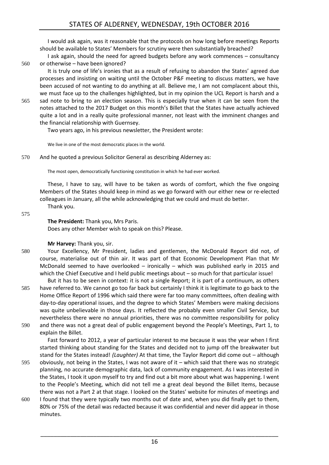I would ask again, was it reasonable that the protocols on how long before meetings Reports should be available to States' Members for scrutiny were then substantially breached?

I ask again, should the need for agreed budgets before any work commences – consultancy 560 or otherwise – have been ignored?

It is truly one of life's ironies that as a result of refusing to abandon the States' agreed due processes and insisting on waiting until the October P&F meeting to discuss matters, we have been accused of not wanting to do anything at all. Believe me, I am not complacent about this, we must face up to the challenges highlighted, but in my opinion the UCL Report is harsh and a

565 sad note to bring to an election season. This is especially true when it can be seen from the notes attached to the 2017 Budget on this month's Billet that the States have actually achieved quite a lot and in a really quite professional manner, not least with the imminent changes and the financial relationship with Guernsey.

Two years ago, in his previous newsletter, the President wrote:

We live in one of the most democratic places in the world.

570 And he quoted a previous Solicitor General as describing Alderney as:

The most open, democratically functioning constitution in which he had ever worked.

These, I have to say, will have to be taken as words of comfort, which the five ongoing Members of the States should keep in mind as we go forward with our either new or re-elected colleagues in January, all the while acknowledging that we could and must do better. Thank you.

575

## **The President:** Thank you, Mrs Paris.

Does any other Member wish to speak on this? Please.

## **Mr Harvey:** Thank you, sir.

- 580 Your Excellency, Mr President, ladies and gentlemen, the McDonald Report did not, of course, materialise out of thin air. It was part of that Economic Development Plan that Mr McDonald seemed to have overlooked – ironically – which was published early in 2015 and which the Chief Executive and I held public meetings about – so much for that particular issue! But it has to be seen in context: it is not a single Report; it is part of a continuum, as others
- 585 have referred to. We cannot go too far back but certainly I think it is legitimate to go back to the Home Office Report of 1996 which said there were far too many committees, often dealing with day-to-day operational issues, and the degree to which States' Members were making decisions was quite unbelievable in those days. It reflected the probably even smaller Civil Service, but nevertheless there were no annual priorities, there was no committee responsibility for policy
- 590 and there was not a great deal of public engagement beyond the People's Meetings, Part 1, to explain the Billet.

Fast forward to 2012, a year of particular interest to me because it was the year when I first started thinking about standing for the States and decided not to jump off the breakwater but stand for the States instead! *(Laughter)* At that time, the Taylor Report did come out – although

- 595 obviously, not being in the States, I was not aware of it which said that there was no strategic planning, no accurate demographic data, lack of community engagement. As I was interested in the States, I took it upon myself to try and find out a bit more about what was happening. I went to the People's Meeting, which did not tell me a great deal beyond the Billet Items, because there was not a Part 2 at that stage. I looked on the States' website for minutes of meetings and
- 600 I found that they were typically two months out of date and, when you did finally get to them, 80% or 75% of the detail was redacted because it was confidential and never did appear in those minutes.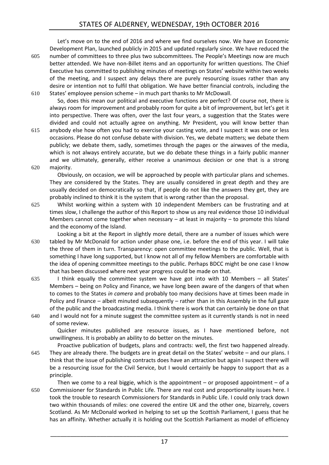Let's move on to the end of 2016 and where we find ourselves now. We have an Economic Development Plan, launched publicly in 2015 and updated regularly since. We have reduced the 605 number of committees to three plus two subcommittees. The People's Meetings now are much better attended. We have non-Billet items and an opportunity for written questions. The Chief Executive has committed to publishing minutes of meetings on States' website within two weeks of the meeting, and I suspect any delays there are purely resourcing issues rather than any desire or intention not to fulfil that obligation. We have better financial controls, including the

610 States' employee pension scheme – in much part thanks to Mr McDowall. So, does this mean our political and executive functions are perfect? Of course not, there is always room for improvement and probably room for quite a bit of improvement, but let's get it into perspective. There was often, over the last four years, a suggestion that the States were divided and could not actually agree on anything. Mr President, you will know better than

615 anybody else how often you had to exercise your casting vote, and I suspect it was one or less occasions. Please do not confuse debate with division. Yes, we debate matters; we debate them publicly; we debate them, sadly, sometimes through the pages or the airwaves of the media, which is not always entirely accurate, but we do debate these things in a fairly public manner and we ultimately, generally, either receive a unanimous decision or one that is a strong 620 majority.

Obviously, on occasion, we will be approached by people with particular plans and schemes. They are considered by the States. They are usually considered in great depth and they are usually decided on democratically so that, if people do not like the answers they get, they are probably inclined to think it is the system that is wrong rather than the proposal.

625 Whilst working within a system with 10 independent Members can be frustrating and at times slow, I challenge the author of this Report to show us any real evidence those 10 individual Members cannot come together when necessary – at least in majority – to promote this Island and the economy of the Island.

Looking a bit at the Report in slightly more detail, there are a number of issues which were 630 tabled by Mr McDonald for action under phase one, i.e. before the end of this year. I will take the three of them in turn. Transparency: open committee meetings to the public. Well, that is something I have long supported, but I know not all of my fellow Members are comfortable with the idea of opening committee meetings to the public. Perhaps BDCC might be one case I know that has been discussed where next year progress could be made on that.

- 635 I think equally the committee system we have got into with 10 Members all States' Members – being on Policy and Finance, we have long been aware of the dangers of that when to comes to the States *in camera* and probably too many decisions have at times been made in Policy and Finance – albeit minuted subsequently – rather than in this Assembly in the full gaze of the public and the broadcasting media. I think there is work that can certainly be done on that
- 640 and I would not for a minute suggest the committee system as it currently stands is not in need of some review.

Quicker minutes published are resource issues, as I have mentioned before, not unwillingness. It is probably an ability to do better on the minutes.

Proactive publication of budgets, plans and contracts: well, the first two happened already. 645 They are already there. The budgets are in great detail on the States' website – and our plans. I think that the issue of publishing contracts does have an attraction but again I suspect there will be a resourcing issue for the Civil Service, but I would certainly be happy to support that as a principle.

Then we come to a real biggie, which is the appointment – or proposed appointment – of a 650 Commissioner for Standards in Public Life. There are real cost and proportionality issues here. I took the trouble to research Commissioners for Standards in Public Life. I could only track down two within thousands of miles: one covered the entire UK and the other one, bizarrely, covers Scotland. As Mr McDonald worked in helping to set up the Scottish Parliament, I guess that he has an affinity. Whether actually it is holding out the Scottish Parliament as model of efficiency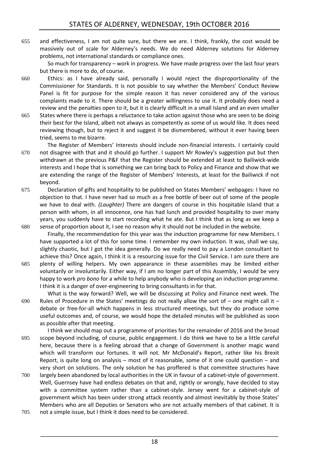655 and effectiveness, I am not quite sure, but there we are. I think, frankly, the cost would be massively out of scale for Alderney's needs. We do need Alderney solutions for Alderney problems, not international standards or compliance ones.

So much for transparency – work in progress. We have made progress over the last four years but there is more to do, of course.

- 660 Ethics: as I have already said, personally I would reject the disproportionality of the Commissioner for Standards. It is not possible to say whether the Members' Conduct Review Panel is fit for purpose for the simple reason it has never considered any of the various complaints made to it. There should be a greater willingness to use it. It probably does need a review and the penalties open to it, but it is clearly difficult in a small Island and an even smaller
- 665 States where there is perhaps a reluctance to take action against those who are seen to be doing their best for the Island, albeit not always as competently as some of us would like. It does need reviewing though, but to reject it and suggest it be dismembered, without it ever having been tried, seems to me bizarre.
- The Register of Members' Interests should include non-financial interests. I certainly could 670 not disagree with that and it should go further. I support Mr Rowley's suggestion put but then withdrawn at the previous P&F that the Register should be extended at least to Bailiwick-wide interests and I hope that is something we can bring back to Policy and Finance and show that we are extending the range of the Register of Members' Interests, at least for the Bailiwick if not beyond.
- 675 Declaration of gifts and hospitality to be published on States Members' webpages: I have no objection to that. I have never had so much as a free bottle of beer out of some of the people we have to deal with. *(Laughter)* There are dangers of course in this hospitable Island that a person with whom, in all innocence, one has had lunch and provided hospitality to over many years, you suddenly have to start recording what he ate. But I think that as long as we keep a 680 sense of proportion about it, I see no reason why it should not be included in the website.
- Finally, the recommendation for this year was the induction programme for new Members. I have supported a lot of this for some time. I remember my own induction. It was, shall we say, slightly chaotic, but I got the idea generally. Do we really need to pay a London consultant to achieve this? Once again, I think it is a resourcing issue for the Civil Service. I am sure there are 685 plenty of willing helpers. My own appearance in these assemblies may be limited either voluntarily or involuntarily. Either way, if I am no longer part of this Assembly, I would be very
	- happy to work *pro bono* for a while to help anybody who is developing an induction programme. I think it is a danger of over-engineering to bring consultants in for that. What is the way forward? Well, we will be discussing at Policy and Finance next week. The
- 690 Rules of Procedure in the States' meetings do not really allow the sort of one might call it debate or free-for-all which happens in less structured meetings, but they do produce some useful outcomes and, of course, we would hope the detailed minutes will be published as soon as possible after that meeting.
- I think we should map out a programme of priorities for the remainder of 2016 and the broad 695 scope beyond including, of course, public engagement. I do think we have to be a little careful here, because there is a feeling abroad that a change of Government is another magic wand which will transform our fortunes. It will not. Mr McDonald's Report, rather like his Brexit Report, is quite long on analysis – most of it reasonable, some of it one could question – and very short on solutions. The only solution he has proffered is that committee structures have
- 700 largely been abandoned by local authorities in the UK in favour of a cabinet-style of government. Well, Guernsey have had endless debates on that and, rightly or wrongly, have decided to stay with a committee system rather than a cabinet-style. Jersey went for a cabinet-style of government which has been under strong attack recently and almost inevitably by those States' Members who are all Deputies or Senators who are not actually members of that cabinet. It is 705 not a simple issue, but I think it does need to be considered.
	- 18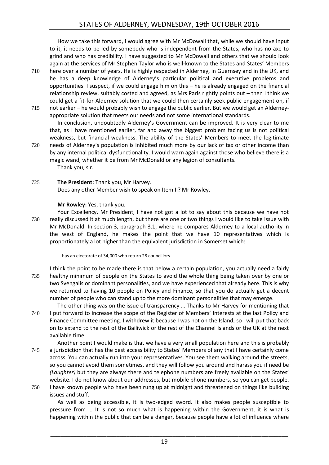How we take this forward, I would agree with Mr McDowall that, while we should have input to it, it needs to be led by somebody who is independent from the States, who has no axe to grind and who has credibility. I have suggested to Mr McDowall and others that we should look again at the services of Mr Stephen Taylor who is well-known to the States and States' Members

- 710 here over a number of years. He is highly respected in Alderney, in Guernsey and in the UK, and he has a deep knowledge of Alderney's particular political and executive problems and opportunities. I suspect, if we could engage him on this – he is already engaged on the financial relationship review, suitably costed and agreed, as Mrs Paris rightly points out – then I think we could get a fit-for-Alderney solution that we could then certainly seek public engagement on, if
- 715 not earlier he would probably wish to engage the public earlier. But we would get an Alderneyappropriate solution that meets our needs and not some international standards.

In conclusion, undoubtedly Alderney's Government can be improved. It is very clear to me that, as I have mentioned earlier, far and away the biggest problem facing us is not political weakness, but financial weakness. The ability of the States' Members to meet the legitimate 720 needs of Alderney's population is inhibited much more by our lack of tax or other income than by any internal political dysfunctionality. I would warn again against those who believe there is a

magic wand, whether it be from Mr McDonald or any legion of consultants. Thank you, sir.

725 **The President:** Thank you, Mr Harvey. Does any other Member wish to speak on Item II? Mr Rowley.

## **Mr Rowley:** Yes, thank you.

Your Excellency, Mr President, I have not got a lot to say about this because we have not 730 really discussed it at much length, but there are one or two things I would like to take issue with Mr McDonald. In section 3, paragraph 3.1, where he compares Alderney to a local authority in the west of England, he makes the point that we have 10 representatives which is proportionately a lot higher than the equivalent jurisdiction in Somerset which:

… has an electorate of 34,000 who return 28 councillors …

I think the point to be made there is that below a certain population, you actually need a fairly 735 healthy minimum of people on the States to avoid the whole thing being taken over by one or two Svengalis or dominant personalities, and we have experienced that already here. This is why we returned to having 10 people on Policy and Finance, so that you do actually get a decent number of people who can stand up to the more dominant personalities that may emerge.

The other thing was on the issue of transparency … Thanks to Mr Harvey for mentioning that 740 I put forward to increase the scope of the Register of Members' Interests at the last Policy and Finance Committee meeting. I withdrew it because I was not on the Island, so I will put that back on to extend to the rest of the Bailiwick or the rest of the Channel Islands or the UK at the next available time.

Another point I would make is that we have a very small population here and this is probably 745 a jurisdiction that has the best accessibility to States' Members of any that I have certainly come across. You can actually run into your representatives. You see them walking around the streets, so you cannot avoid them sometimes, and they will follow you around and harass you if need be *(Laughter)* but they are always there and telephone numbers are freely available on the States' website. I do not know about our addresses, but mobile phone numbers, so you can get people.

750 I have known people who have been rung up at midnight and threatened on things like building issues and stuff.

As well as being accessible, it is two-edged sword. It also makes people susceptible to pressure from … It is not so much what is happening within the Government, it is what is happening within the public that can be a danger, because people have a lot of influence where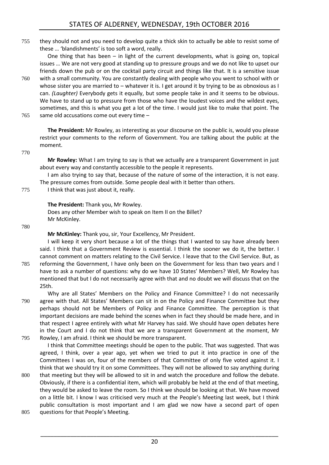755 they should not and you need to develop quite a thick skin to actually be able to resist some of these … 'blandishments' is too soft a word, really.

One thing that has been – in light of the current developments, what is going on, topical issues … We are not very good at standing up to pressure groups and we do not like to upset our friends down the pub or on the cocktail party circuit and things like that. It is a sensitive issue

- 760 with a small community. You are constantly dealing with people who you went to school with or whose sister you are married to – whatever it is. I get around it by trying to be as obnoxious as I can. *(Laughter)* Everybody gets it equally, but some people take in and it seems to be obvious. We have to stand up to pressure from those who have the loudest voices and the wildest eyes, sometimes, and this is what you get a lot of the time. I would just like to make that point. The
- 765 same old accusations come out every time -

**The President:** Mr Rowley, as interesting as your discourse on the public is, would you please restrict your comments to the reform of Government. You are talking about the public at the moment.

#### 770

**Mr Rowley:** What I am trying to say is that we actually are a transparent Government in just about every way and constantly accessible to the people it represents.

I am also trying to say that, because of the nature of some of the interaction, it is not easy. The pressure comes from outside. Some people deal with it better than others.

775 I think that was just about it, really.

## **The President:** Thank you, Mr Rowley.

Does any other Member wish to speak on Item II on the Billet? Mr McKinley.

780

**Mr McKinley:** Thank you, sir, Your Excellency, Mr President.

I will keep it very short because a lot of the things that I wanted to say have already been said. I think that a Government Review is essential. I think the sooner we do it, the better. I cannot comment on matters relating to the Civil Service. I leave that to the Civil Service. But, as 785 reforming the Government, I have only been on the Government for less than two years and I have to ask a number of questions: why do we have 10 States' Members? Well, Mr Rowley has mentioned that but I do not necessarily agree with that and no doubt we will discuss that on the 25th.

Why are all States' Members on the Policy and Finance Committee? I do not necessarily 790 agree with that. All States' Members can sit in on the Policy and Finance Committee but they perhaps should not be Members of Policy and Finance Committee. The perception is that important decisions are made behind the scenes when in fact they should be made here, and in that respect I agree entirely with what Mr Harvey has said. We should have open debates here in the Court and I do not think that we are a transparent Government at the moment, Mr 795 Rowley, I am afraid. I think we should be more transparent.

I think that Committee meetings should be open to the public. That was suggested. That was agreed, I think, over a year ago, yet when we tried to put it into practice in one of the Committees I was on, four of the members of that Committee of only five voted against it. I think that we should try it on some Committees. They will not be allowed to say anything during

- 800 that meeting but they will be allowed to sit in and watch the procedure and follow the debate. Obviously, if there is a confidential item, which will probably be held at the end of that meeting, they would be asked to leave the room. So I think we should be looking at that. We have moved on a little bit. I know I was criticised very much at the People's Meeting last week, but I think public consultation is most important and I am glad we now have a second part of open
- 805 questions for that People's Meeting.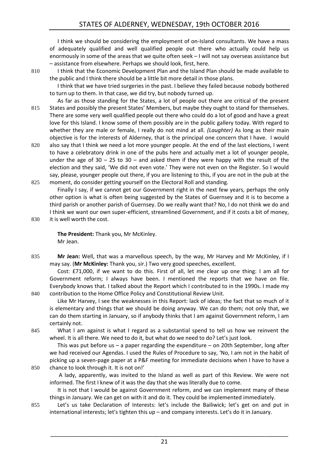I think we should be considering the employment of on-Island consultants. We have a mass of adequately qualified and well qualified people out there who actually could help us enormously in some of the areas that we quite often seek – I will not say overseas assistance but – assistance from elsewhere. Perhaps we should look, first, here.

810 I think that the Economic Development Plan and the Island Plan should be made available to the public and I think there should be a little bit more detail in those plans.

I think that we have tried surgeries in the past. I believe they failed because nobody bothered to turn up to them. In that case, we did try, but nobody turned up.

As far as those standing for the States, a lot of people out there are critical of the present 815 States and possibly the present States' Members, but maybe they ought to stand for themselves. There are some very well qualified people out there who could do a lot of good and have a great love for this Island. I know some of them possibly are in the public gallery today. With regard to whether they are male or female, I really do not mind at all. *(Laughter)* As long as their main objective is for the interests of Alderney, that is the principal one concern that I have. I would

820 also say that I think we need a lot more younger people. At the end of the last elections, I went to have a celebratory drink in one of the pubs here and actually met a lot of younger people, under the age of  $30 - 25$  to  $30 -$  and asked them if they were happy with the result of the election and they said, 'We did not even vote.' They were not even on the Register. So I would say, please, younger people out there, if you are listening to this, if you are not in the pub at the 825 moment, do consider getting yourself on the Electoral Roll and standing.

Finally I say, if we cannot get our Government right in the next few years, perhaps the only other option is what is often being suggested by the States of Guernsey and it is to become a third parish or another parish of Guernsey. Do we really want that? No, I do not think we do and I think we want our own super-efficient, streamlined Government, and if it costs a bit of money,

830 it is well worth the cost.

**The President:** Thank you, Mr McKinley. Mr Jean.

835 Mr Jean: Well, that was a marvellous speech, by the way, Mr Harvey and Mr McKinley, if I may say. (**Mr McKinley:** Thank you, sir.) Two very good speeches, excellent.

Cost: £71,000, if we want to do this. First of all, let me clear up one thing: I am all for Government reform; I always have been. I mentioned the reports that we have on file. Everybody knows that. I talked about the Report which I contributed to in the 1990s. I made my 840 contribution to the Home Office Policy and Constitutional Review Unit.

Like Mr Harvey, I see the weaknesses in this Report: lack of ideas; the fact that so much of it is elementary and things that we should be doing anyway. We can do them; not only that, we can do them starting in January, so if anybody thinks that I am against Government reform, I am certainly not.

845 What I am against is what I regard as a substantial spend to tell us how we reinvent the wheel. It is all there. We need to do it, but what do we need to do? Let's just look.

This was put before us – a paper regarding the expenditure – on 20th September, long after we had received our Agendas. I used the Rules of Procedure to say, 'No, I am not in the habit of picking up a seven-page paper at a P&F meeting for immediate decisions when I have to have a 850 chance to look through it. It is not on!'

A lady, apparently, was invited to the Island as well as part of this Review. We were not informed. The first I knew of it was the day that she was literally due to come.

It is not that I would be against Government reform, and we can implement many of these things in January. We can get on with it and do it. They could be implemented immediately.

855 Let's us take Declaration of Interests: let's include the Bailiwick; let's get on and put in international interests; let's tighten this up – and company interests. Let's do it in January.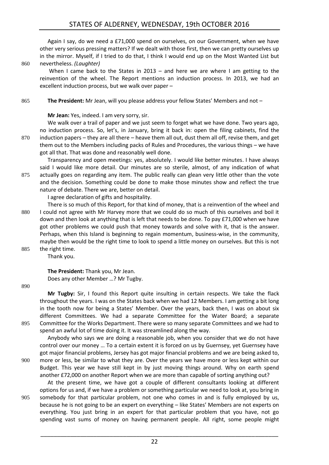Again I say, do we need a £71,000 spend on ourselves, on our Government, when we have other very serious pressing matters? If we dealt with those first, then we can pretty ourselves up in the mirror. Myself, if I tried to do that, I think I would end up on the Most Wanted List but 860 nevertheless. *(Laughter)*

When I came back to the States in  $2013 -$  and here we are where I am getting to the reinvention of the wheel. The Report mentions an induction process. In 2013, we had an excellent induction process, but we walk over paper –

865 **The President:** Mr Jean, will you please address your fellow States' Members and not –

## **Mr Jean:** Yes, indeed. I am very sorry, sir.

We walk over a trail of paper and we just seem to forget what we have done. Two years ago, no induction process. So, let's, in January, bring it back in: open the filing cabinets, find the 870 induction papers – they are all there – heave them all out, dust them all off, revise them, and get them out to the Members including packs of Rules and Procedures, the various things – we have got all that. That was done and reasonably well done.

Transparency and open meetings: yes, absolutely. I would like better minutes. I have always said I would like more detail. Our minutes are so sterile, almost, of any indication of what 875 actually goes on regarding any item. The public really can glean very little other than the vote

and the decision. Something could be done to make those minutes show and reflect the true nature of debate. There we are, better on detail.

I agree declaration of gifts and hospitality.

- There is so much of this Report, for that kind of money, that is a reinvention of the wheel and 880 I could not agree with Mr Harvey more that we could do so much of this ourselves and boil it down and then look at anything that is left that needs to be done. To pay £71,000 when we have got other problems we could push that money towards and solve with it, that is the answer. Perhaps, when this Island is beginning to regain momentum, business-wise, in the community, maybe then would be the right time to look to spend a little money on ourselves. But this is not 885 the right time.
	- Thank you.

**The President:** Thank you, Mr Jean. Does any other Member …? Mr Tugby.

890

**Mr Tugby:** Sir, I found this Report quite insulting in certain respects. We take the flack throughout the years. I was on the States back when we had 12 Members. I am getting a bit long in the tooth now for being a States' Member. Over the years, back then, I was on about six different Committees. We had a separate Committee for the Water Board; a separate 895 Committee for the Works Department. There were so many separate Committees and we had to spend an awful lot of time doing it. It was streamlined along the way.

Anybody who says we are doing a reasonable job, when you consider that we do not have control over our money … To a certain extent it is forced on us by Guernsey, yet Guernsey have got major financial problems, Jersey has got major financial problems and we are being asked to, 900 more or less, be similar to what they are. Over the years we have more or less kept within our Budget. This year we have still kept in by just moving things around. Why on earth spend another £72,000 on another Report when we are more than capable of sorting anything out?

At the present time, we have got a couple of different consultants looking at different options for us and, if we have a problem or something particular we need to look at, you bring in 905 somebody for that particular problem, not one who comes in and is fully employed by us, because he is not going to be an expert on everything – like States' Members are not experts on everything. You just bring in an expert for that particular problem that you have, not go spending vast sums of money on having permanent people. All right, some people might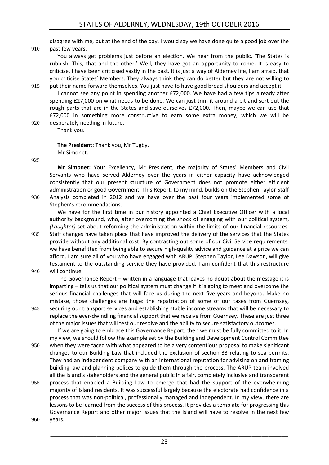disagree with me, but at the end of the day, I would say we have done quite a good job over the 910 past few years.

You always get problems just before an election. We hear from the public, 'The States is rubbish. This, that and the other.' Well, they have got an opportunity to come. It is easy to criticise. I have been criticised vastly in the past. It is just a way of Alderney life, I am afraid, that you criticise States' Members. They always think they can do better but they are not willing to

- 915 put their name forward themselves. You just have to have good broad shoulders and accept it. I cannot see any point in spending another £72,000. We have had a few tips already after spending £27,000 on what needs to be done. We can just trim it around a bit and sort out the rough parts that are in the States and save ourselves £72,000. Then, maybe we can use that £72,000 in something more constructive to earn some extra money, which we will be
- 920 desperately needing in future. Thank you.

**The President:** Thank you, Mr Tugby. Mr Simonet.

925

**Mr Simonet:** Your Excellency, Mr President, the majority of States' Members and Civil Servants who have served Alderney over the years in either capacity have acknowledged consistently that our present structure of Government does not promote either efficient administration or good Government. This Report, to my mind, builds on the Stephen Taylor Staff 930 Analysis completed in 2012 and we have over the past four years implemented some of Stephen's recommendations.

We have for the first time in our history appointed a Chief Executive Officer with a local authority background, who, after overcoming the shock of engaging with our political system, *(Laughter)* set about reforming the administration within the limits of our financial resources.

935 Staff changes have taken place that have improved the delivery of the services that the States provide without any additional cost. By contracting out some of our Civil Service requirements, we have benefitted from being able to secure high-quality advice and guidance at a price we can afford. I am sure all of you who have engaged with ARUP, Stephen Taylor, Lee Dawson, will give testament to the outstanding service they have provided. I am confident that this restructure 940 will continue.

The Governance Report – written in a language that leaves no doubt about the message it is imparting – tells us that our political system must change if it is going to meet and overcome the serious financial challenges that will face us during the next five years and beyond. Make no mistake, those challenges are huge: the repatriation of some of our taxes from Guernsey, 945 securing our transport services and establishing stable income streams that will be necessary to replace the ever-dwindling financial support that we receive from Guernsey. These are just three of the major issues that will test our resolve and the ability to secure satisfactory outcomes.

If we are going to embrace this Governance Report, then we must be fully committed to it. In my view, we should follow the example set by the Building and Development Control Committee 950 when they were faced with what appeared to be a very contentious proposal to make significant changes to our Building Law that included the exclusion of section 33 relating to sea permits. They had an independent company with an international reputation for advising on and framing building law and planning polices to guide them through the process. The ARUP team involved all the Island's stakeholders and the general public in a fair, completely inclusive and transparent

955 process that enabled a Building Law to emerge that had the support of the overwhelming majority of Island residents. It was successful largely because the electorate had confidence in a process that was non-political, professionally managed and independent. In my view, there are lessons to be learned from the success of this process. It provides a template for progressing this Governance Report and other major issues that the Island will have to resolve in the next few

960 years.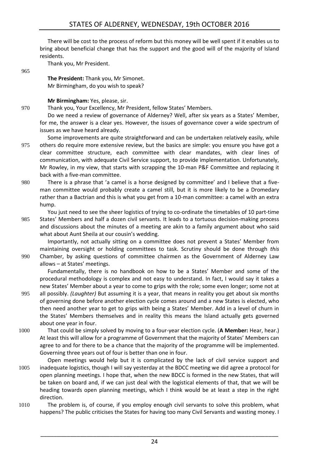There will be cost to the process of reform but this money will be well spent if it enables us to bring about beneficial change that has the support and the good will of the majority of Island residents.

Thank you, Mr President.

965

**The President:** Thank you, Mr Simonet. Mr Birmingham, do you wish to speak?

**Mr Birmingham:** Yes, please, sir.

970 Thank you, Your Excellency, Mr President, fellow States' Members.

Do we need a review of governance of Alderney? Well, after six years as a States' Member, for me, the answer is a clear yes. However, the issues of governance cover a wide spectrum of issues as we have heard already.

- Some improvements are quite straightforward and can be undertaken relatively easily, while 975 others do require more extensive review, but the basics are simple: you ensure you have got a clear committee structure, each committee with clear mandates, with clear lines of communication, with adequate Civil Service support, to provide implementation. Unfortunately, Mr Rowley, in my view, that starts with scrapping the 10-man P&F Committee and replacing it back with a five-man committee.
- 980 There is a phrase that 'a camel is a horse designed by committee' and I believe that a fiveman committee would probably create a camel still, but it is more likely to be a Dromedary rather than a Bactrian and this is what you get from a 10-man committee: a camel with an extra hump.

You just need to see the sheer logistics of trying to co-ordinate the timetables of 10 part-time 985 States' Members and half a dozen civil servants. It leads to a tortuous decision-making process

and discussions about the minutes of a meeting are akin to a family argument about who said what about Aunt Sheila at our cousin's wedding.

Importantly, not actually sitting on a committee does not prevent a States' Member from maintaining oversight or holding committees to task. Scrutiny should be done through *this* 990 Chamber, by asking questions of committee chairmen as the Government of Alderney Law allows – at States' meetings.

Fundamentally, there is no handbook on how to be a States' Member and some of the procedural methodology is complex and not easy to understand. In fact, I would say it takes a new States' Member about a year to come to grips with the role; some even longer; some not at

- 995 all possibly. *(Laughter)* But assuming it is a year, that means in reality you get about six months of governing done before another election cycle comes around and a new States is elected, who then need another year to get to grips with being a States' Member. Add in a level of churn in the States' Members themselves and in reality this means the Island actually gets governed about one year in four.
- 1000 That could be simply solved by moving to a four-year election cycle. (**A Member:** Hear, hear.) At least this will allow for a programme of Government that the majority of States' Members can agree to and for there to be a chance that the majority of the programme will be implemented. Governing three years out of four is better than one in four.
- Open meetings would help but it is complicated by the lack of civil service support and 1005 inadequate logistics, though I will say yesterday at the BDCC meeting we did agree a protocol for open planning meetings. I hope that, when the new BDCC is formed in the new States, that will be taken on board and, if we can just deal with the logistical elements of that, that we will be heading towards open planning meetings, which I think would be at least a step in the right direction.
- 1010 The problem is, of course, if you employ enough civil servants to solve this problem, what happens? The public criticises the States for having too many Civil Servants and wasting money. I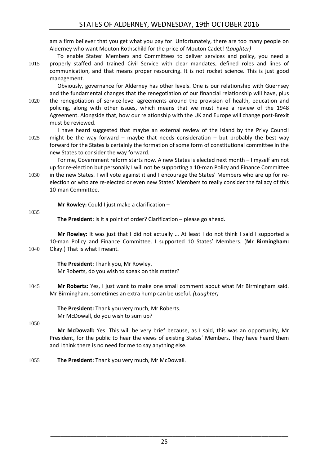am a firm believer that you get what you pay for. Unfortunately, there are too many people on Alderney who want Mouton Rothschild for the price of Mouton Cadet! *(Laughter)* 

To enable States' Members and Committees to deliver services and policy, you need a 1015 properly staffed and trained Civil Service with clear mandates, defined roles and lines of communication, and that means proper resourcing. It is not rocket science. This is just good management.

Obviously, governance for Alderney has other levels. One is our relationship with Guernsey and the fundamental changes that the renegotiation of our financial relationship will have, plus 1020 the renegotiation of service-level agreements around the provision of health, education and policing, along with other issues, which means that we must have a review of the 1948 Agreement. Alongside that, how our relationship with the UK and Europe will change post-Brexit must be reviewed.

I have heard suggested that maybe an external review of the Island by the Privy Council 1025 might be the way forward – maybe that needs consideration – but probably the best way forward for the States is certainly the formation of some form of constitutional committee in the new States to consider the way forward.

For me, Government reform starts now. A new States is elected next month – I myself am not up for re-election but personally I will not be supporting a 10-man Policy and Finance Committee

1030 in the new States. I will vote against it and I encourage the States' Members who are up for reelection or who are re-elected or even new States' Members to really consider the fallacy of this 10-man Committee.

**Mr Rowley:** Could I just make a clarification –

1035

**The President:** Is it a point of order? Clarification – please go ahead.

**Mr Rowley:** It was just that I did not actually … At least I do not think I said I supported a 10-man Policy and Finance Committee. I supported 10 States' Members. (**Mr Birmingham:**  1040 Okay.) That is what I meant.

> **The President:** Thank you, Mr Rowley. Mr Roberts, do you wish to speak on this matter?

1045 **Mr Roberts:** Yes, I just want to make one small comment about what Mr Birmingham said. Mr Birmingham, sometimes an extra hump can be useful. *(Laughter)* 

> **The President:** Thank you very much, Mr Roberts. Mr McDowall, do you wish to sum up?

1050

**Mr McDowall:** Yes. This will be very brief because, as I said, this was an opportunity, Mr President, for the public to hear the views of existing States' Members. They have heard them and I think there is no need for me to say anything else.

1055 **The President:** Thank you very much, Mr McDowall.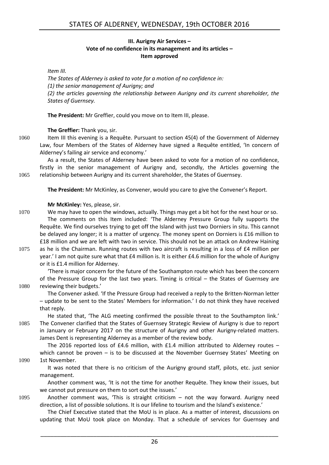#### **III. Aurigny Air Services – Vote of no confidence in its management and its articles – Item approved**

<span id="page-25-0"></span>*Item III.*

*The States of Alderney is asked to vote for a motion of no confidence in: (1) the senior management of Aurigny; and (2) the articles governing the relationship between Aurigny and its current shareholder, the States of Guernsey.* 

**The President:** Mr Greffier, could you move on to Item III, please.

**The Greffier:** Thank you, sir.

1060 Item III this evening is a Requête. Pursuant to section 45(4) of the Government of Alderney Law, four Members of the States of Alderney have signed a Requête entitled, 'In concern of Alderney's failing air service and economy.'

As a result, the States of Alderney have been asked to vote for a motion of no confidence, firstly in the senior management of Aurigny and, secondly, the Articles governing the 1065 relationship between Aurigny and its current shareholder, the States of Guernsey.

**The President:** Mr McKinley, as Convener, would you care to give the Convener's Report.

**Mr McKinley:** Yes, please, sir.

- 1070 We may have to open the windows, actually. Things may get a bit hot for the next hour or so. The comments on this Item included: 'The Alderney Pressure Group fully supports the Requête. We find ourselves trying to get off the Island with just two Dorniers in situ. This cannot be delayed any longer; it is a matter of urgency. The money spent on Dorniers is £16 million to £18 million and we are left with two in service. This should not be an attack on Andrew Haining
- 1075 as he is the Chairman. Running routes with two aircraft is resulting in a loss of £4 million per year.' I am not quite sure what that £4 million is. It is either £4.6 million for the whole of Aurigny or it is £1.4 million for Alderney.

'There is major concern for the future of the Southampton route which has been the concern of the Pressure Group for the last two years. Timing is critical – the States of Guernsey are 1080 reviewing their budgets.'

The Convener asked. 'If the Pressure Group had received a reply to the Britten-Norman letter – update to be sent to the States' Members for information.' I do not think they have received that reply.

He stated that, 'The ALG meeting confirmed the possible threat to the Southampton link.' 1085 The Convener clarified that the States of Guernsey Strategic Review of Aurigny is due to report in January or February 2017 on the structure of Aurigny and other Aurigny-related matters. James Dent is representing Alderney as a member of the review body.

The 2016 reported loss of £4.6 million, with £1.4 million attributed to Alderney routes – which cannot be proven – is to be discussed at the November Guernsey States' Meeting on 1090 1st November.

It was noted that there is no criticism of the Aurigny ground staff, pilots, etc. just senior management.

Another comment was, 'It is not the time for another Requête. They know their issues, but we cannot put pressure on them to sort out the issues.'

1095 Another comment was, 'This is straight criticism – not the way forward. Aurigny need direction, a list of possible solutions. It is our lifeline to tourism and the Island's existence.'

The Chief Executive stated that the MoU is in place. As a matter of interest, discussions on updating that MoU took place on Monday. That a schedule of services for Guernsey and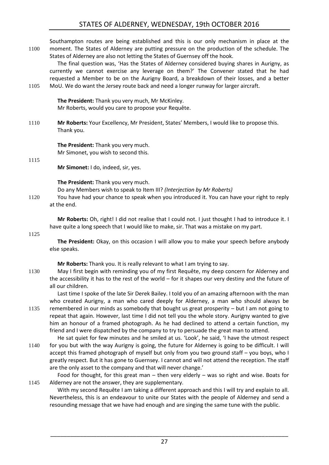## STATES OF ALDERNEY, WEDNESDAY, 19th OCTOBER 2016

Southampton routes are being established and this is our only mechanism in place at the 1100 moment. The States of Alderney are putting pressure on the production of the schedule. The States of Alderney are also not letting the States of Guernsey off the hook. The final question was, 'Has the States of Alderney considered buying shares in Aurigny, as currently we cannot exercise any leverage on them?' The Convener stated that he had requested a Member to be on the Aurigny Board, a breakdown of their losses, and a better 1105 MoU. We do want the Jersey route back and need a longer runway for larger aircraft. **The President:** Thank you very much, Mr McKinley. Mr Roberts, would you care to propose your Requête. 1110 **Mr Roberts:** Your Excellency, Mr President, States' Members, I would like to propose this. Thank you. **The President:** Thank you very much. Mr Simonet, you wish to second this. 1115 **Mr Simonet:** I do, indeed, sir, yes. **The President:** Thank you very much. Do any Members wish to speak to Item III? *(Interjection by Mr Roberts)* 1120 You have had your chance to speak when you introduced it. You can have your right to reply at the end.

**Mr Roberts:** Oh, right! I did not realise that I could not. I just thought I had to introduce it. I have quite a long speech that I would like to make, sir. That was a mistake on my part.

#### 1125

**The President:** Okay, on this occasion I will allow you to make your speech before anybody else speaks.

**Mr Roberts:** Thank you. It is really relevant to what I am trying to say.

1130 May I first begin with reminding you of my first Requête, my deep concern for Alderney and the accessibility it has to the rest of the world – for it shapes our very destiny and the future of all our children.

Last time I spoke of the late Sir Derek Bailey. I told you of an amazing afternoon with the man who created Aurigny, a man who cared deeply for Alderney, a man who should always be 1135 remembered in our minds as somebody that bought us great prosperity – but I am not going to repeat that again. However, last time I did not tell you the whole story. Aurigny wanted to give him an honour of a framed photograph. As he had declined to attend a certain function, my friend and I were dispatched by the company to try to persuade the great man to attend.

He sat quiet for few minutes and he smiled at us. 'Look', he said, 'I have the utmost respect 1140 for you but with the way Aurigny is going, the future for Alderney is going to be difficult. I will accept this framed photograph of myself but only from you two ground staff – you boys, who I greatly respect. But it has gone to Guernsey. I cannot and will not attend the reception. The staff are the only asset to the company and that will never change.'

Food for thought, for this great man – then very elderly – was so right and wise. Boats for 1145 Alderney are not the answer, they are supplementary.

With my second Requête I am taking a different approach and this I will try and explain to all. Nevertheless, this is an endeavour to unite our States with the people of Alderney and send a resounding message that we have had enough and are singing the same tune with the public.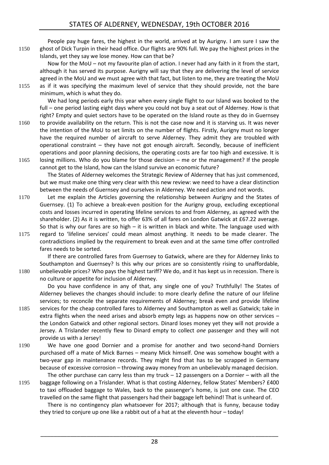People pay huge fares, the highest in the world, arrived at by Aurigny. I am sure I saw the 1150 ghost of Dick Turpin in their head office. Our flights are 90% full. We pay the highest prices in the Islands, yet they say we lose money. How can that be?

Now for the MoU – not my favourite plan of action. I never had any faith in it from the start, although it has served its purpose. Aurigny will say that they are delivering the level of service agreed in the MoU and we must agree with that fact, but listen to me, they are treating the MoU

1155 as if it was specifying the maximum level of service that they should provide, not the bare minimum, which is what they do.

We had long periods early this year when every single flight to our Island was booked to the full – one period lasting eight days where you could not buy a seat out of Alderney. How is that right? Empty and quiet sectors have to be operated on the Island route as they do in Guernsey

- 1160 to provide availability on the return. This is not the case now and it is starving us. It was never the intention of the MoU to set limits on the number of flights. Firstly, Aurigny must no longer have the required number of aircraft to serve Alderney. They admit they are troubled with operational constraint – they have not got enough aircraft. Secondly, because of inefficient operations and poor planning decisions, the operating costs are far too high and excessive. It is
- 1165 losing millions. Who do you blame for those decision me or the management? If the people cannot get to the Island, how can the Island survive an economic future?

The States of Alderney welcomes the Strategic Review of Alderney that has just commenced, but we must make one thing very clear with this new review: we need to have a clear distinction between the needs of Guernsey and ourselves in Alderney. We need action and not words.

- 1170 Let me explain the Articles governing the relationship between Aurigny and the States of Guernsey. (1) To achieve a break-even position for the Aurigny group, excluding exceptional costs and losses incurred in operating lifeline services to and from Alderney, as agreed with the shareholder. (2) As it is written, to offer 63% of all fares on London Gatwick at £67.22 average. So that is why our fares are so high  $-$  it is written in black and white. The language used with
- 1175 regard to 'lifeline services' could mean almost anything. It needs to be made clearer. The contradictions implied by the requirement to break even and at the same time offer controlled fares needs to be sorted.

If there are controlled fares from Guernsey to Gatwick, where are they for Alderney links to Southampton and Guernsey? Is this why our prices are so consistently rising to unaffordable, 1180 unbelievable prices? Who pays the highest tariff? We do, and it has kept us in recession. There is no culture or appetite for inclusion of Alderney.

Do you have confidence in any of that, any single one of you? Truthfully! The States of Alderney believes the changes should include: to more clearly define the nature of our lifeline services; to reconcile the separate requirements of Alderney; break even and provide lifeline 1185 services for the cheap controlled fares to Alderney and Southampton as well as Gatwick; take in

- extra flights when the need arises and absorb empty legs as happens now on other services the London Gatwick and other regional sectors. Dinard loses money yet they will not provide a Jersey. A Trislander recently flew to Dinard empty to collect *one* passenger and they will not provide us with a Jersey!
- 1190 We have one good Dornier and a promise for another and two second-hand Dorniers purchased off a mate of Mick Barnes – meany Mick himself. One was somehow bought with a two-year gap in maintenance records. They might find that has to be scrapped in Germany because of excessive corrosion – throwing away money from an unbelievably managed decision.

The other purchase can carry less than my truck  $-12$  passengers on a Dornier  $-$  with all the 1195 baggage following on a Trislander. What is that costing Alderney, fellow States' Members? £400 to taxi offloaded baggage to Wales, back to the passenger's home, is just one case. The CEO travelled on the same flight that passengers had their baggage left behind! That is unheard of.

There is no contingency plan whatsoever for 2017; although that is funny, because today they tried to conjure up one like a rabbit out of a hat at the eleventh hour – today!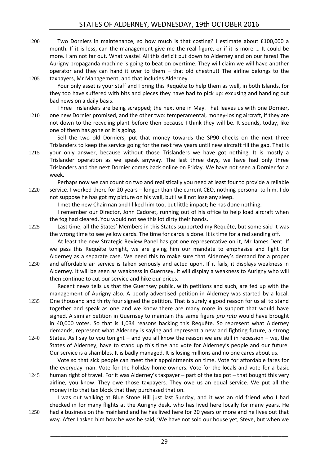1200 Two Dorniers in maintenance, so how much is that costing? I estimate about £100,000 a month. If it is less, can the management give me the real figure, or if it is more … It could be more. I am not far out. What waste! All this deficit put down to Alderney and on our fares! The Aurigny propaganda machine is going to beat on overtime. They will claim we will have another operator and they can hand it over to them – that old chestnut! The airline belongs to the 1205 taxpayers, Mr Management, and that includes Alderney.

Your only asset is your staff and I bring this Requête to help them as well, in both Islands, for they too have suffered with bits and pieces they have had to pick up: excusing and handing out bad news on a daily basis.

Three Trislanders are being scrapped; the next one in May. That leaves us with one Dornier, 1210 one new Dornier promised, and the other two: temperamental, money-losing aircraft, if they are not down to the recycling plant before then because I think they will be. It sounds, today, like one of them has gone or it is going.

Sell the two old Dorniers, put that money towards the SP90 checks on the next three Trislanders to keep the service going for the next few years until new aircraft fill the gap. That is 1215 your only answer, because without those Trislanders we have got nothing. It is mostly a Trislander operation as we speak anyway. The last three days, we have had only three Trislanders and the next Dornier comes back online on Friday. We have not seen a Dornier for a week.

Perhaps now we can count on two and realistically you need at least four to provide a reliable 1220 service. I worked there for 20 years – longer than the current CEO, nothing personal to him. I do not suppose he has got my picture on his wall, but I will not lose any sleep.

I met the new Chairman and I liked him too, but little impact; he has done nothing.

I remember our Director, John Cadoret, running out of his office to help load aircraft when the fog had cleared. You would not see this lot dirty their hands.

1225 Last time, all the States' Members in this States supported my Requête, but some said it was the wrong time to see yellow cards. The time for cards is done. It is time for a red sending off.

At least the new Strategic Review Panel has got one representative on it, Mr James Dent. If we pass this Requête tonight, we are giving him our mandate to emphasise and fight for Alderney as a separate case. We need this to make sure that Alderney's demand for a proper 1230 and affordable air service is taken seriously and acted upon. If it fails, it displays weakness in Alderney. It will be seen as weakness in Guernsey. It will display a weakness to Aurigny who will then continue to cut our service and hike our prices.

Recent news tells us that the Guernsey public, with petitions and such, are fed up with the management of Aurigny also. A poorly advertised petition in Alderney was started by a local. 1235 One thousand and thirty four signed the petition. That is surely a good reason for us all to stand together and speak as one and we know there are many more in support that would have signed. A similar petition in Guernsey to maintain the same figure *pro rata* would have brought in 40,000 votes. So that is 1,034 reasons backing this Requête. So represent what Alderney demands, represent what Alderney is saying and represent a new and fighting future, a strong

1240 States. As I say to you tonight – and you all know the reason we are still in recession – we, the States of Alderney, have to stand up this time and vote for Alderney's people and our future. Our service is a shambles. It is badly managed. It is losing millions and no one cares about us.

Vote so that sick people can meet their appointments on time. Vote for affordable fares for the everyday man. Vote for the holiday home owners. Vote for the locals and vote for a basic 1245 human right of travel. For it was Alderney's taxpayer – part of the tax pot – that bought this very airline, you know. They owe those taxpayers. They owe us an equal service. We put all the money into that tax block that they purchased that on.

I was out walking at Blue Stone Hill just last Sunday, and it was an old friend who I had checked in for many flights at the Aurigny desk, who has lived here locally for many years. He 1250 had a business on the mainland and he has lived here for 20 years or more and he lives out that way. After I asked him how he was he said, 'We have not sold our house yet, Steve, but when we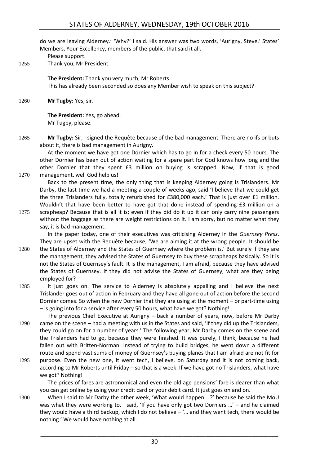## STATES OF ALDERNEY, WEDNESDAY, 19th OCTOBER 2016

do we are leaving Alderney.' 'Why?' I said. His answer was two words, 'Aurigny, Steve.' States' Members, Your Excellency, members of the public, that said it all.

Please support.

1255 Thank you, Mr President.

**The President:** Thank you very much, Mr Roberts. This has already been seconded so does any Member wish to speak on this subject?

1260 **Mr Tugby:** Yes, sir.

**The President:** Yes, go ahead. Mr Tugby, please.

1265 **Mr Tugby:** Sir, I signed the Requête because of the bad management. There are no ifs or buts about it, there is bad management in Aurigny.

At the moment we have got one Dornier which has to go in for a check every 50 hours. The other Dornier has been out of action waiting for a spare part for God knows how long and the other Dornier that they spent £3 million on buying is scrapped. Now, if that is good 1270 management, well God help us!

Back to the present time, the only thing that is keeping Alderney going is Trislanders. Mr Darby, the last time we had a meeting a couple of weeks ago, said 'I believe that we could get the three Trislanders fully, totally refurbished for £380,000 each.' That is just over £1 million. Wouldn't that have been better to have got that done instead of spending £3 million on a

1275 scrapheap? Because that is all it is; even if they did do it up it can only carry nine passengers without the baggage as there are weight restrictions on it. I am sorry, but no matter what they say, it is bad management.

In the paper today, one of their executives was criticising Alderney in the *Guernsey Press*. They are upset with the Requête because, 'We are aiming it at the wrong people. It should be

- 1280 the States of Alderney and the States of Guernsey where the problem is.' But surely if they are the management, they advised the States of Guernsey to buy these scrapheaps basically. So it is not the States of Guernsey's fault. It is the management, I am afraid, because they have advised the States of Guernsey. If they did not advise the States of Guernsey, what are they being employed for?
- 1285 It just goes on. The service to Alderney is absolutely appalling and I believe the next Trislander goes out of action in February and they have all gone out of action before the second Dornier comes. So when the new Dornier that they are using at the moment – or part-time using – is going into for a service after every 50 hours, what have we got? Nothing!

The previous Chief Executive at Aurigny – back a number of years, now, before Mr Darby 1290 came on the scene – had a meeting with us in the States and said, 'If they did up the Trislanders, they could go on for a number of years.' The following year, Mr Darby comes on the scene and the Trislanders had to go, because they were finished. It was purely, I think, because he had fallen out with Britten-Norman. Instead of trying to build bridges, he went down a different route and spend vast sums of money of Guernsey's buying planes that I am afraid are not fit for

1295 purpose. Even the new one, it went tech, I believe, on Saturday and it is not coming back, according to Mr Roberts until Friday – so that is a week. If we have got no Trislanders, what have we got? Nothing!

The prices of fares are astronomical and even the old age pensions' fare is dearer than what you can get online by using your credit card or your debit card. It just goes on and on.

1300 When I said to Mr Darby the other week, 'What would happen …?' because he said the MoU was what they were working to. I said, 'If you have only got two Dorniers ...' – and he claimed they would have a third backup, which I do not believe  $-$  "... and they went tech, there would be nothing.' We would have nothing at all.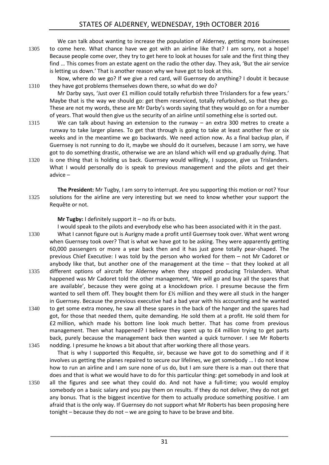We can talk about wanting to increase the population of Alderney, getting more businesses 1305 to come here. What chance have we got with an airline like that? I am sorry, not a hope! Because people come over, they try to get here to look at houses for sale and the first thing they find … This comes from an estate agent on the radio the other day. They ask, 'But the air service is letting us down.' That is another reason why we have got to look at this.

Now, where do we go? If we give a red card, will Guernsey do anything? I doubt it because 1310 they have got problems themselves down there, so what do we do?

Mr Darby says, 'Just over £1 million could totally refurbish three Trislanders for a few years.' Maybe that is the way we should go: get them reserviced, totally refurbished, so that they go. These are not my words, these are Mr Darby's words saying that they would go on for a number of years. That would then give us the security of an airline until something else is sorted out.

- 1315 We can talk about having an extension to the runway an extra 300 metres to create a runway to take larger planes. To get that through is going to take at least another five or six weeks and in the meantime we go backwards. We need action now. As a final backup plan, if Guernsey is not running to do it, maybe we should do it ourselves, because I am sorry, we have got to do something drastic, otherwise we are an Island which will end up gradually dying. That
- 1320 is one thing that is holding us back. Guernsey would willingly, I suppose, give us Trislanders. What I would personally do is speak to previous management and the pilots and get their advice –
- **The President:** Mr Tugby, I am sorry to interrupt. Are you supporting this motion or not? Your 1325 solutions for the airline are very interesting but we need to know whether your support the Requête or not.

**Mr Tugby:** I definitely support it – no ifs or buts.

I would speak to the pilots and everybody else who has been associated with it in the past.

- 1330 What I cannot figure out is Aurigny made a profit until Guernsey took over. What went wrong when Guernsey took over? That is what we have got to be asking. They were apparently getting 60,000 passengers or more a year back then and it has just gone totally pear-shaped. The previous Chief Executive: I was told by the person who worked for them – not Mr Cadoret or anybody like that, but another one of the management at the time – that they looked at all 1335 different options of aircraft for Alderney when they stopped producing Trislanders. What happened was Mr Cadoret told the other management, 'We will go and buy all the spares that
- are available', because they were going at a knockdown price. I presume because the firm wanted to sell them off. They bought them for  $f\mathcal{L}$  million and they were all stuck in the hanger in Guernsey. Because the previous executive had a bad year with his accounting and he wanted
- 1340 to get some extra money, he saw all these spares in the back of the hanger and the spares had got, for those that needed them, quite demanding. He sold them at a profit. He sold them for £2 million, which made his bottom line look much better. That has come from previous management. Then what happened? I believe they spent up to £4 million trying to get parts back, purely because the management back then wanted a quick turnover. I see Mr Roberts
- 1345 nodding. I presume he knows a bit about that after working there all those years. That is why I supported this Requête, sir, because we have got to do something and if it involves us getting the planes repaired to secure our lifelines, we get somebody … I do not know how to run an airline and I am sure none of us do, but I am sure there is a man out there that does and that is what we would have to do for this particular thing: get somebody in and look at
- 1350 all the figures and see what they could do. And not have a full-time; you would employ somebody on a basic salary and you pay them on results. If they do not deliver, they do not get any bonus. That is the biggest incentive for them to actually produce something positive. I am afraid that is the only way. If Guernsey do not support what Mr Roberts has been proposing here tonight – because they do not – we are going to have to be brave and bite.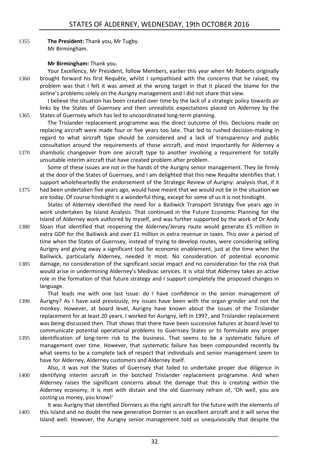1355 **The President:** Thank you, Mr Tugby. Mr Birmingham.

## **Mr Birmingham:** Thank you.

Your Excellency, Mr President, follow Members, earlier this year when Mr Roberts originally 1360 brought forward his first Requête, whilst I sympathised with the concerns that he raised, my problem was that I felt it was aimed at the wrong target in that it placed the blame for the airline's problems solely on the Aurigny management and I did not share that view.

I believe the situation has been created over time by the lack of a strategic policy towards air links by the States of Guernsey and then unrealistic expectations placed on Alderney by the 1365 States of Guernsey which has led to uncoordinated long-term planning.

The Trislander replacement programme was the direct outcome of this. Decisions made on replacing aircraft were made four or five years too late. That led to rushed decision-making in regard to what aircraft type should be considered and a lack of transparency and public consultation around the requirements of those aircraft, and most importantly for Alderney a 1370 shambolic changeover from one aircraft type to another involving a requirement for totally unsuitable interim aircraft that have created problem after problem.

Some of these issues are not in the hands of the Aurigny senior management. They lie firmly at the door of the States of Guernsey, and I am delighted that this new Requête identifies that. I support wholeheartedly the endorsement of the Strategic Review of Aurigny: analysis that, if it 1375 had been undertaken five years ago, would have meant that we would not be in the situation we are today. Of course hindsight is a wonderful thing, except for some of us it is not hindsight.

States of Alderney identified the need for a Bailiwick Transport Strategy five years ago in work undertaken by Island Analysis. That continued in the Future Economic Planning for the Island of Alderney work authored by myself, and was further supported by the work of Dr Andy

- 1380 Sloan that identified that reopening the Alderney/Jersey route would generate £5 million in extra GDP for the Bailiwick and over £1 million in extra revenue in taxes. This over a period of time when the States of Guernsey, instead of trying to develop routes, were considering selling Aurigny and giving away a significant tool for economic enablement, just at the time when the Bailiwick, particularly Alderney, needed it most. No consideration of potential economic 1385 damage, no consideration of the significant social impact and no consideration for the risk that would arise in undermining Alderney's Medivac services. It is vital that Alderney takes an active role in the formation of that future strategy and I support completely the proposed changes in
- language.

That leads me with one last issue: do I have confidence in the senior management of 1390 Aurigny? As I have said previously, my issues have been with the organ grinder and not the monkey. However, at board level, Aurigny have known about the issues of the Trislander replacement for at least 20 years. I worked for Aurigny, left in 1997, and Trislander replacement was being discussed then. That shows that there have been successive failures at board level to communicate potential operational problems to Guernsey States or to formulate any proper

- 1395 identification of long-term risk to the business. That seems to be a systematic failure of management over time. However, that systematic failure has been compounded recently by what seems to be a complete lack of respect that individuals and senior management seem to have for Alderney, Alderney customers and Alderney itself.
- Also, it was not the States of Guernsey that failed to undertake proper due diligence in 1400 identifying interim aircraft in the botched Trislander replacement programme. And when Alderney raises the significant concerns about the damage that this is creating within the Alderney economy, it is met with distain and the old Guernsey refrain of, 'Oh well, you are costing us money, you know!'

It was Aurigny that identified Dorniers as the right aircraft for the future with the elements of 1405 this Island and no doubt the new generation Dornier is an excellent aircraft and it will serve the Island well. However, the Aurigny senior management told us unequivocally that despite the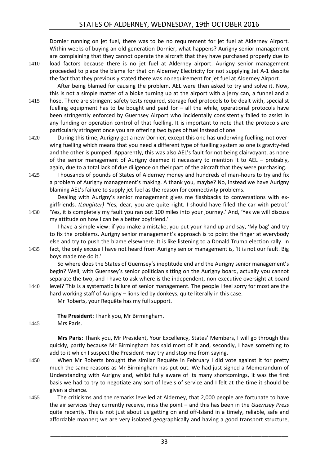Dornier running on jet fuel, there was to be no requirement for jet fuel at Alderney Airport. Within weeks of buying an old generation Dornier, what happens? Aurigny senior management are complaining that they cannot operate the aircraft that they have purchased properly due to

1410 load factors because there is no jet fuel at Alderney airport. Aurigny senior management proceeded to place the blame for that on Alderney Electricity for not supplying Jet A-1 despite the fact that they previously stated there was no requirement for jet fuel at Alderney Airport.

After being blamed for causing the problem, AEL were then asked to try and solve it. Now, this is not a simple matter of a bloke turning up at the airport with a jerry can, a funnel and a 1415 hose. There are stringent safety tests required, storage fuel protocols to be dealt with, specialist fuelling equipment has to be bought and paid for – all the while, operational protocols have been stringently enforced by Guernsey Airport who incidentally consistently failed to assist in any funding or operation control of that fuelling. It is important to note that the protocols are particularly stringent once you are offering two types of fuel instead of one.

1420 During this time, Aurigny get a new Dornier, except this one has underwing fuelling, not overwing fuelling which means that you need a different type of fuelling system as one is gravity-fed and the other is pumped. Apparently, this was also AEL's fault for not being clairvoyant, as none of the senior management of Aurigny deemed it necessary to mention it to AEL – probably, again, due to a total lack of due diligence on their part of the aircraft that they were purchasing.

1425 Thousands of pounds of States of Alderney money and hundreds of man-hours to try and fix a problem of Aurigny management's making. A thank you, maybe? No, instead we have Aurigny blaming AEL's failure to supply jet fuel as the reason for connectivity problems.

Dealing with Aurigny's senior management gives me flashbacks to conversations with exgirlfriends. *(Laughter) '*Yes, dear, you are quite right. I should have filled the car with petrol.'

1430 'Yes, it is completely my fault you ran out 100 miles into your journey.' And, 'Yes we will discuss my attitude on how I can be a better boyfriend.'

I have a simple view: if you make a mistake, you put your hand up and say, 'My bag' and try to fix the problems. Aurigny senior management's approach is to point the finger at everybody else and try to push the blame elsewhere. It is like listening to a Donald Trump election rally. In 1435 fact, the only excuse I have not heard from Aurigny senior management is, 'It is not our fault. Big

boys made me do it.'

So where does the States of Guernsey's ineptitude end and the Aurigny senior management's begin? Well, with Guernsey's senior politician sitting on the Aurigny board, actually you cannot separate the two, and I have to ask where is the independent, non-executive oversight at board 1440 level? This is a systematic failure of senior management. The people I feel sorry for most are the

hard working staff of Aurigny – lions led by donkeys, quite literally in this case.

Mr Roberts, your Requête has my full support.

**The President:** Thank you, Mr Birmingham.

1445 Mrs Paris.

**Mrs Paris:** Thank you, Mr President, Your Excellency, States' Members, I will go through this quickly, partly because Mr Birmingham has said most of it and, secondly, I have something to add to it which I suspect the President may try and stop me from saying.

- 1450 When Mr Roberts brought the similar Requête in February I did vote against it for pretty much the same reasons as Mr Birmingham has put out. We had just signed a Memorandum of Understanding with Aurigny and, whilst fully aware of its many shortcomings, it was the first basis we had to try to negotiate any sort of levels of service and I felt at the time it should be given a chance.
- 1455 The criticisms and the remarks levelled at Alderney, that 2,000 people are fortunate to have the air services they currently receive, miss the point – and this has been in the *Guernsey Press* quite recently. This is not just about us getting on and off-Island in a timely, reliable, safe and affordable manner; we are very isolated geographically and having a good transport structure,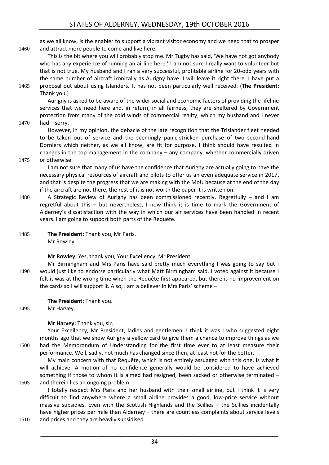as we all know, is the enabler to support a vibrant visitor economy and we need that to prosper 1460 and attract more people to come and live here.

This is the bit where you will probably stop me. Mr Tugby has said, 'We have not got anybody who has any experience of running an airline here.' I am not sure I really want to volunteer but that is not true. My husband and I ran a very successful, profitable airline for 20-odd years with the same number of aircraft ironically as Aurigny have. I will leave it right there. I have put a

1465 proposal out about using Islanders. It has not been particularly well received. (**The President:**  Thank you.)

Aurigny is asked to be aware of the wider social and economic factors of providing the lifeline services that we need here and, in return, in all fairness, they are sheltered by Government protection from many of the cold winds of commercial reality, which my husband and I never

1470 had – sorry.

However, in my opinion, the debacle of the late recognition that the Trislander fleet needed to be taken out of service and the seemingly panic-stricken purchase of two second-hand Dorniers which neither, as we all know, are fit for purpose, I think should have resulted in changes in the top management in the company – any company, whether commercially driven 1475 or otherwise.

I am not sure that many of us have the confidence that Aurigny are actually going to have the necessary physical resources of aircraft and pilots to offer us an even adequate service in 2017, and that is despite the progress that we are making with the MoU because at the end of the day if the aircraft are not there, the rest of it is not worth the paper it is written on.

- 1480 A Strategic Review of Aurigny has been commissioned recently. Regretfully and I am regretful about this – but nevertheless, I now think it is time to mark the Government of Alderney's dissatisfaction with the way in which our air services have been handled in recent years. I am going to support both parts of the Requête.
- 1485 **The President:** Thank you, Mr Paris. Mr Rowley.

**Mr Rowley:** Yes, thank you, Your Excellency, Mr President.

Mr Birmingham and Mrs Paris have said pretty much everything I was going to say but I 1490 would just like to endorse particularly what Matt Birmingham said. I voted against it because I felt it was at the wrong time when the Requête first appeared, but there is no improvement on the cards so I will support it. Also, I am a believer in Mrs Paris' scheme –

**The President:** Thank you.

1495 Mr Harvey.

## **Mr Harvey:** Thank you, sir.

Your Excellency, Mr President, ladies and gentlemen, I think it was I who suggested eight months ago that we show Aurigny a yellow card to give them a chance to improve things as we 1500 had the Memorandum of Understanding for the first time ever to at least measure their performance. Well, sadly, not much has changed since then, at least not for the better.

My main concern with that Requête, which is not entirely assuaged with this one, is what it will achieve. A motion of no confidence generally would be considered to have achieved something if those to whom it is aimed had resigned, been sacked or otherwise terminated – 1505 and therein lies an ongoing problem.

I totally respect Mrs Paris and her husband with their small airline, but I think it is very difficult to find anywhere where a small airline provides a good, low-price service without massive subsidies. Even with the Scottish Highlands and the Scillies – the Scillies incidentally have higher prices per mile than Alderney – there are countless complaints about service levels 1510 and prices and they are heavily subsidised.

34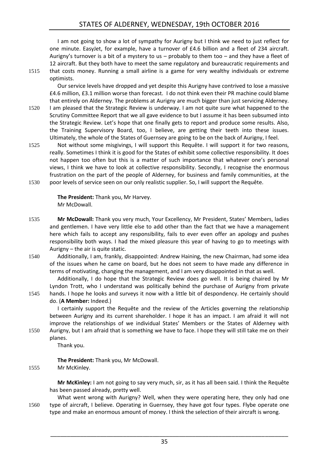I am not going to show a lot of sympathy for Aurigny but I think we need to just reflect for one minute. EasyJet, for example, have a turnover of £4.6 billion and a fleet of 234 aircraft. Aurigny's turnover is a bit of a mystery to us – probably to them too – and they have a fleet of 12 aircraft. But they both have to meet the same regulatory and bureaucratic requirements and 1515 that costs money. Running a small airline is a game for very wealthy individuals or extreme optimists.

Our service levels have dropped and yet despite this Aurigny have contrived to lose a massive £4.6 million, £3.1 million worse than forecast. I do not think even their PR machine could blame that entirely on Alderney. The problems at Aurigny are much bigger than just servicing Alderney.

- 1520 I am pleased that the Strategic Review is underway. I am not quite sure what happened to the Scrutiny Committee Report that we all gave evidence to but I assume it has been subsumed into the Strategic Review. Let's hope that one finally gets to report and produce some results. Also, the Training Supervisory Board, too, I believe, are getting their teeth into these issues. Ultimately, the whole of the States of Guernsey are going to be on the back of Aurigny, I feel.
- 1525 Not without some misgivings, I will support this Requête. I will support it for two reasons, really. Sometimes I think it is good for the States of exhibit some collective responsibility. It does not happen too often but this is a matter of such importance that whatever one's personal views, I think we have to look at collective responsibility. Secondly, I recognise the enormous frustration on the part of the people of Alderney, for business and family communities, at the 1530 poor levels of service seen on our only realistic supplier. So, I will support the Requête.

**The President:** Thank you, Mr Harvey. Mr McDowall.

- 1535 **Mr McDowall:** Thank you very much, Your Excellency, Mr President, States' Members, ladies and gentlemen. I have very little else to add other than the fact that we have a management here which fails to accept any responsibility, fails to ever even offer an apology and pushes responsibility both ways. I had the mixed pleasure this year of having to go to meetings with Aurigny – the air is quite static.
- 1540 Additionally, I am, frankly, disappointed: Andrew Haining, the new Chairman, had some idea of the issues when he came on board, but he does not seem to have made any difference in terms of motivating, changing the management, and I am very disappointed in that as well.

Additionally, I do hope that the Strategic Review does go well. It is being chaired by Mr Lyndon Trott, who I understand was politically behind the purchase of Aurigny from private 1545 hands. I hope he looks and surveys it now with a little bit of despondency. He certainly should

do. (**A Member:** Indeed.)

I certainly support the Requête and the review of the Articles governing the relationship between Aurigny and its current shareholder. I hope it has an impact. I am afraid it will not improve the relationships of we individual States' Members or the States of Alderney with

1550 Aurigny, but I am afraid that is something we have to face. I hope they will still take me on their planes.

Thank you.

**The President:** Thank you, Mr McDowall.

1555 Mr McKinley.

**Mr McKinley:** I am not going to say very much, sir, as it has all been said. I think the Requête has been passed already, pretty well.

What went wrong with Aurigny? Well, when they were operating here, they only had one 1560 type of aircraft, I believe. Operating in Guernsey, they have got four types. Flybe operate one type and make an enormous amount of money. I think the selection of their aircraft is wrong.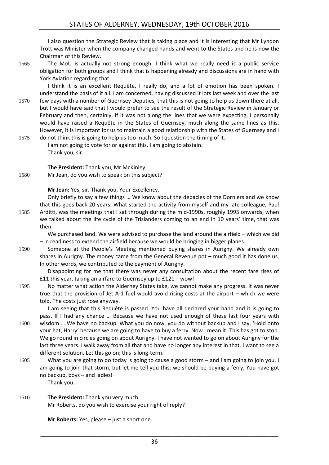I also question the Strategic Review that is taking place and it is interesting that Mr Lyndon Trott was Minister when the company changed hands and went to the States and he is now the Chairman of this Review.

1565 The MoU is actually not strong enough. I think what we really need is a public service obligation for both groups and I think that is happening already and discussions are in hand with York Aviation regarding that.

I think it is an excellent Requête, I really do, and a lot of emotion has been spoken. I understand the basis of it all. I am concerned, having discussed it lots last week and over the last

- 1570 few days with a number of Guernsey Deputies, that this is not going to help us down there at all, but I would have said that I would prefer to see the result of the Strategic Review in January or February and then, certainly, if it was not along the lines that we were expecting, I personally would have raised a Requête in the States of Guernsey, much along the same lines as this. However, it is important for us to maintain a good relationship with the States of Guernsey and I
- 1575 do not think this is going to help us too much. So I question the timing of it. I am not going to vote for or against this. I am going to abstain. Thank you, sir.

**The President:** Thank you, Mr McKinley.

1580 Mr Jean, do you wish to speak on this subject?

**Mr Jean:** Yes, sir. Thank you, Your Excellency.

Only briefly to say a few things … We know about the debacles of the Dorniers and we know that this goes back 20 years. What started the activity from myself and my late colleague, Paul 1585 Arditti, was the meetings that I sat through during the mid-1990s, roughly 1995 onwards, when we talked about the life cycle of the Trislanders coming to an end in 10 years' time, that was then.

We purchased land. We were advised to purchase the land around the airfield – which we did – in readiness to extend the airfield because we would be bringing in bigger planes.

1590 Someone at the People's Meeting mentioned buying shares in Aurigny. We already own shares in Aurigny. The money came from the General Revenue pot – much good it has done us. In other words, we contributed to the payment of Aurigny.

Disappointing for me that there was never any consultation about the recent fare rises of £11 this year, taking an airfare to Guernsey up to £121 – wow!

1595 No matter what action the Alderney States take, we cannot make any progress. It was never true that the provision of Jet A-1 fuel would avoid rising costs at the airport – which we were told. The costs just rose anyway.

I am seeing that this Requête is passed. You have all declared your hand and it is going to pass. If I had any chance … Because we have not used enough of these last four years with 1600 wisdom … We have no backup. What you do now, you do without backup and I say, 'Hold onto your hat, Harry' because we are going to have to buy a ferry. Now I mean it! This has got to stop. We go round in circles going on about Aurigny. I have not wanted to go on about Aurigny for the last three years. I walk away from all that and have no longer any interest in that. I want to see a different solution. Let this go on; this is long-term.

- 1605 What you are going to do today is going to cause a good storm and I am going to join you. I am going to join that storm, but let me tell you this: we should be buying a ferry. You have got no backup, boys – and ladies! Thank you.
- 1610 **The President:** Thank you very much. Mr Roberts, do you wish to exercise your right of reply?

**Mr Roberts:** Yes, please – just a short one.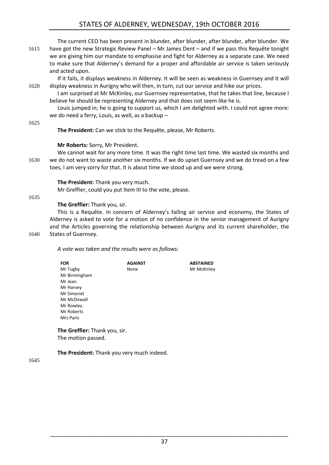## STATES OF ALDERNEY, WEDNESDAY, 19th OCTOBER 2016

The current CEO has been present in blunder, after blunder, after blunder, after blunder. We 1615 have got the new Strategic Review Panel – Mr James Dent – and if we pass this Requête tonight we are giving him our mandate to emphasise and fight for Alderney as a separate case. We need to make sure that Alderney's demand for a proper and affordable air service is taken seriously and acted upon.

If it fails, it displays weakness in Alderney. It will be seen as weakness in Guernsey and it will 1620 display weakness in Aurigny who will then, in turn, cut our service and hike our prices.

I am surprised at Mr McKinley, our Guernsey representative, that he takes that line, because I believe he should be representing Alderney and that does not seem like he is.

Louis jumped in; he is going to support us, which I am delighted with. I could not agree more: we do need a ferry, Louis, as well, as a backup –

1625

**The President:** Can we stick to the Requête, please, Mr Roberts.

### **Mr Roberts:** Sorry, Mr President.

We cannot wait for any more time. It was the right time last time. We wasted six months and 1630 we do not want to waste another six months. If we do upset Guernsey and we do tread on a few toes, I am very sorry for that. It is about time we stood up and we were strong.

**The President:** Thank you very much.

Mr Greffier, could you put Item III to the vote, please.

#### 1635

## **The Greffier:** Thank you, sir.

This is a Requête. In concern of Alderney's failing air service and economy, the States of Alderney is asked to vote for a motion of no confidence in the senior management of Aurigny and the Articles governing the relationship between Aurigny and its current shareholder, the

## 1640 States of Guernsey.

*A vote was taken and the results were as follows:*

| FOR           | <b>AGAINST</b> | <b>ABSTAINED</b> |
|---------------|----------------|------------------|
| Mr Tugby      | None           | Mr McKinley      |
| Mr Birmingham |                |                  |
| Mr Jean       |                |                  |
| Mr Harvey     |                |                  |
| Mr Simonet    |                |                  |
| Mr McDowall   |                |                  |
| Mr Rowley     |                |                  |
| Mr Roberts    |                |                  |
| Mrs Paris     |                |                  |
|               |                |                  |

**The Greffier:** Thank you, sir. The motion passed.

**The President:** Thank you very much indeed.

1645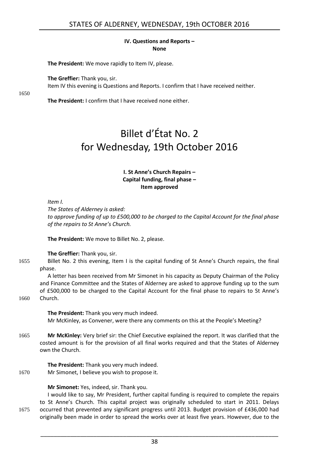#### **IV. Questions and Reports – None**

<span id="page-37-0"></span>**The President:** We move rapidly to Item IV, please.

**The Greffier:** Thank you, sir.

Item IV this evening is Questions and Reports. I confirm that I have received neither.

1650

<span id="page-37-1"></span>**The President:** I confirm that I have received none either.

## Billet d'État No. 2 for Wednesday, 19th October 2016

### **I. St Anne's Church Repairs – Capital funding, final phase – Item approved**

<span id="page-37-2"></span>*Item I.* 

*The States of Alderney is asked:* 

*to approve funding of up to £500,000 to be charged to the Capital Account for the final phase of the repairs to St Anne's Church.* 

**The President:** We move to Billet No. 2, please.

**The Greffier:** Thank you, sir.

1655 Billet No. 2 this evening, Item I is the capital funding of St Anne's Church repairs, the final phase.

A letter has been received from Mr Simonet in his capacity as Deputy Chairman of the Policy and Finance Committee and the States of Alderney are asked to approve funding up to the sum of £500,000 to be charged to the Capital Account for the final phase to repairs to St Anne's

1660 Church.

**The President:** Thank you very much indeed. Mr McKinley, as Convener, were there any comments on this at the People's Meeting?

1665 **Mr McKinley:** Very brief sir: the Chief Executive explained the report. It was clarified that the costed amount is for the provision of all final works required and that the States of Alderney own the Church.

**The President:** Thank you very much indeed.

1670 Mr Simonet, I believe you wish to propose it.

**Mr Simonet:** Yes, indeed, sir. Thank you.

I would like to say, Mr President, further capital funding is required to complete the repairs to St Anne's Church. This capital project was originally scheduled to start in 2011. Delays 1675 occurred that prevented any significant progress until 2013. Budget provision of £436,000 had originally been made in order to spread the works over at least five years. However, due to the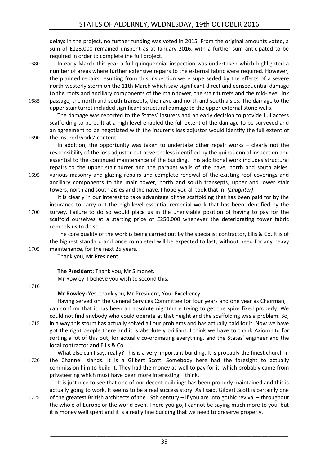delays in the project, no further funding was voted in 2015. From the original amounts voted, a sum of £123,000 remained unspent as at January 2016, with a further sum anticipated to be required in order to complete the full project.

- 1680 In early March this year a full quinquennial inspection was undertaken which highlighted a number of areas where further extensive repairs to the external fabric were required. However, the planned repairs resulting from this inspection were superseded by the effects of a severe north-westerly storm on the 11th March which saw significant direct and consequential damage to the roofs and ancillary components of the main tower, the stair turrets and the mid-level link
- 1685 passage, the north and south transepts, the nave and north and south aisles. The damage to the upper stair turret included significant structural damage to the upper external stone walls.

The damage was reported to the States' insurers and an early decision to provide full access scaffolding to be built at a high level enabled the full extent of the damage to be surveyed and an agreement to be negotiated with the insurer's loss adjustor would identify the full extent of 1690 the insured works' content.

In addition, the opportunity was taken to undertake other repair works – clearly not the responsibility of the loss adjustor but nevertheless identified by the quinquennial inspection and essential to the continued maintenance of the building. This additional work includes structural repairs to the upper stair turret and the parapet walls of the nave, north and south aisles, 1695 various masonry and glazing repairs and complete renewal of the existing roof coverings and

ancillary components to the main tower, north and south transepts, upper and lower stair towers, north and south aisles and the nave. I hope you all took that in! *(Laughter)* 

It is clearly in our interest to take advantage of the scaffolding that has been paid for by the insurance to carry out the high-level essential remedial work that has been identified by the 1700 survey. Failure to do so would place us in the unenviable position of having to pay for the scaffold ourselves at a starting price of £250,000 whenever the deteriorating tower fabric

compels us to do so. The core quality of the work is being carried out by the specialist contractor, Ellis & Co. It is of

the highest standard and once completed will be expected to last, without need for any heavy 1705 maintenance, for the next 25 years.

Thank you, Mr President.

**The President:** Thank you, Mr Simonet. Mr Rowley, I believe you wish to second this.

#### 1710

**Mr Rowley:** Yes, thank you, Mr President, Your Excellency.

Having served on the General Services Committee for four years and one year as Chairman, I can confirm that it has been an absolute nightmare trying to get the spire fixed properly. We could not find anybody who could operate at that height and the scaffolding was a problem. So, 1715 in a way this storm has actually solved all our problems and has actually paid for it. Now we have got the right people there and it is absolutely brilliant. I think we have to thank Axiom Ltd for

sorting a lot of this out, for actually co-ordinating everything, and the States' engineer and the local contractor and Ellis & Co.

What else can I say, really? This is a very important building. It is probably the finest church in 1720 the Channel Islands. It is a Gilbert Scott. Somebody here had the foresight to actually commission him to build it. They had the money as well to pay for it, which probably came from privateering which must have been more interesting, I think.

It is just nice to see that one of our decent buildings has been properly maintained and this is actually going to work. It seems to be a real success story. As I said, Gilbert Scott is certainly one 1725 of the greatest British architects of the 19th century – if you are into gothic revival – throughout the whole of Europe or the world even. There you go, I cannot be saying much more to you, but

it is money well spent and it is a really fine building that we need to preserve properly.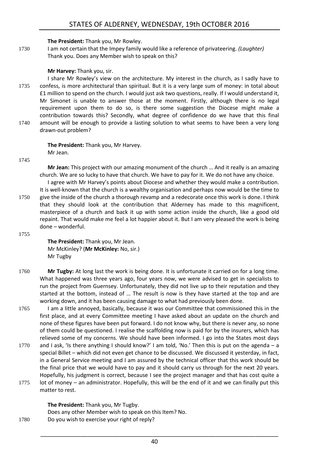## **The President:** Thank you, Mr Rowley.

1730 I am not certain that the Impey family would like a reference of privateering. *(Laughter)*  Thank you. Does any Member wish to speak on this?

## **Mr Harvey:** Thank you, sir.

I share Mr Rowley's view on the architecture. My interest in the church, as I sadly have to 1735 confess, is more architectural than spiritual. But it is a very large sum of money: in total about £1 million to spend on the church. I would just ask two questions, really. If I would understand it, Mr Simonet is unable to answer those at the moment. Firstly, although there is no legal requirement upon them to do so, is there some suggestion the Diocese might make a contribution towards this? Secondly, what degree of confidence do we have that this final 1740 amount will be enough to provide a lasting solution to what seems to have been a very long drawn-out problem?

> **The President:** Thank you, Mr Harvey. Mr Jean.

1745

**Mr Jean:** This project with our amazing monument of the church … And it really is an amazing church. We are so lucky to have that church. We have to pay for it. We do not have any choice.

I agree with Mr Harvey's points about Diocese and whether they would make a contribution. It is well-known that the church is a wealthy organisation and perhaps now would be the time to 1750 give the inside of the church a thorough revamp and a redecorate once this work is done. I think that they should look at the contribution that Alderney has made to this magnificent, masterpiece of a church and back it up with some action inside the church, like a good old repaint. That would make me feel a lot happier about it. But I am very pleased the work is being done – wonderful.

1755

**The President:** Thank you, Mr Jean. Mr McKinley? (**Mr McKinley:** No, sir.) Mr Tugby

- 1760 **Mr Tugby:** At long last the work is being done. It is unfortunate it carried on for a long time. What happened was three years ago, four years now, we were advised to get in specialists to run the project from Guernsey. Unfortunately, they did not live up to their reputation and they started at the bottom, instead of … The result is now is they have started at the top and are working down, and it has been causing damage to what had previously been done.
- 1765 I am a little annoyed, basically, because it was our Committee that commissioned this in the first place, and at every Committee meeting I have asked about an update on the church and none of these figures have been put forward. I do not know why, but there is never any, so none of them could be questioned. I realise the scaffolding now is paid for by the insurers, which has relieved some of my concerns. We should have been informed. I go into the States most days
- 1770 and I ask, 'Is there anything I should know?' I am told, 'No.' Then this is put on the agenda a special Billet – which did not even get chance to be discussed. We discussed it yesterday, in fact, in a General Service meeting and I am assured by the technical officer that this work should be the final price that we would have to pay and it should carry us through for the next 20 years. Hopefully, his judgment is correct, because I see the project manager and that has cost quite a
- 1775 lot of money an administrator. Hopefully, this will be the end of it and we can finally put this matter to rest.

**The President:** Thank you, Mr Tugby. Does any other Member wish to speak on this Item? No. 1780 Do you wish to exercise your right of reply?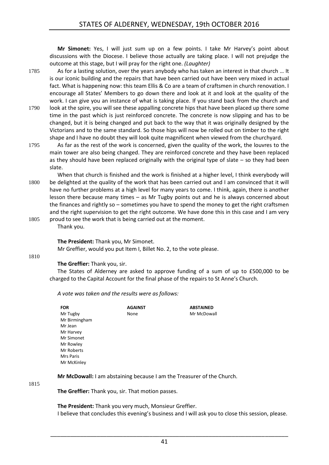**Mr Simonet:** Yes, I will just sum up on a few points. I take Mr Harvey's point about discussions with the Diocese. I believe those actually are taking place. I will not prejudge the outcome at this stage, but I will pray for the right one. *(Laughter)* 

- 1785 As for a lasting solution, over the years anybody who has taken an interest in that church … It is our iconic building and the repairs that have been carried out have been very mixed in actual fact. What is happening now: this team Ellis & Co are a team of craftsmen in church renovation. I encourage all States' Members to go down there and look at it and look at the quality of the work. I can give you an instance of what is taking place. If you stand back from the church and 1790 look at the spire, you will see these appalling concrete hips that have been placed up there some time in the past which is just reinforced concrete. The concrete is now slipping and has to be changed, but it is being changed and put back to the way that it was originally designed by the
- shape and I have no doubt they will look quite magnificent when viewed from the churchyard. 1795 As far as the rest of the work is concerned, given the quality of the work, the louvres to the main tower are also being changed. They are reinforced concrete and they have been replaced as they should have been replaced originally with the original type of slate  $-$  so they had been slate.

Victorians and to the same standard. So those hips will now be rolled out on timber to the right

- When that church is finished and the work is finished at a higher level, I think everybody will 1800 be delighted at the quality of the work that has been carried out and I am convinced that it will have no further problems at a high level for many years to come. I think, again, there is another lesson there because many times – as Mr Tugby points out and he is always concerned about the finances and rightly so – sometimes you have to spend the money to get the right craftsmen and the right supervision to get the right outcome. We have done this in this case and I am very
- 1805 proud to see the work that is being carried out at the moment. Thank you.

**The President:** Thank you, Mr Simonet.

Mr Greffier, would you put Item I, Billet No. 2, to the vote please.

1810

## **The Greffier:** Thank you, sir.

The States of Alderney are asked to approve funding of a sum of up to £500,000 to be charged to the Capital Account for the final phase of the repairs to St Anne's Church.

*A vote was taken and the results were as follows:*

| FOR           | <b>AGAINST</b> | <b>ABSTAINED</b> |
|---------------|----------------|------------------|
| Mr Tugby      | None           | Mr McDowall      |
| Mr Birmingham |                |                  |
| Mr Jean       |                |                  |
| Mr Harvey     |                |                  |
| Mr Simonet    |                |                  |
| Mr Rowley     |                |                  |
| Mr Roberts    |                |                  |
| Mrs Paris     |                |                  |
| Mr McKinley   |                |                  |

**Mr McDowall:** I am abstaining because I am the Treasurer of the Church.

1815

**The Greffier:** Thank you, sir. That motion passes.

**The President:** Thank you very much, Monsieur Greffier.

I believe that concludes this evening's business and I will ask you to close this session, please.